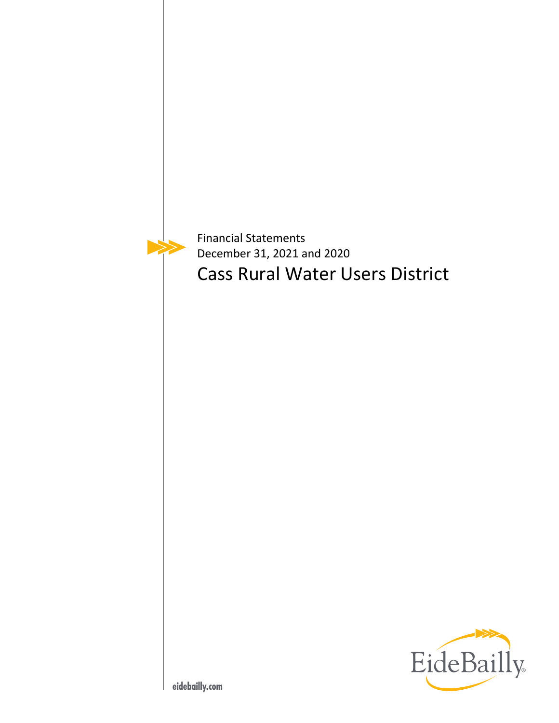Financial Statements December 31, 2021 and 2020 Cass Rural Water Users District

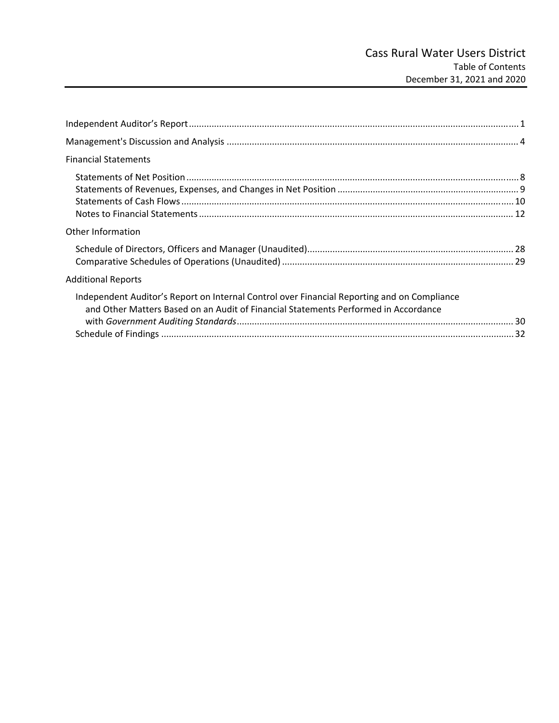| <b>Financial Statements</b>                                                                                                                                                        |  |
|------------------------------------------------------------------------------------------------------------------------------------------------------------------------------------|--|
|                                                                                                                                                                                    |  |
| Other Information                                                                                                                                                                  |  |
|                                                                                                                                                                                    |  |
| <b>Additional Reports</b>                                                                                                                                                          |  |
| Independent Auditor's Report on Internal Control over Financial Reporting and on Compliance<br>and Other Matters Based on an Audit of Financial Statements Performed in Accordance |  |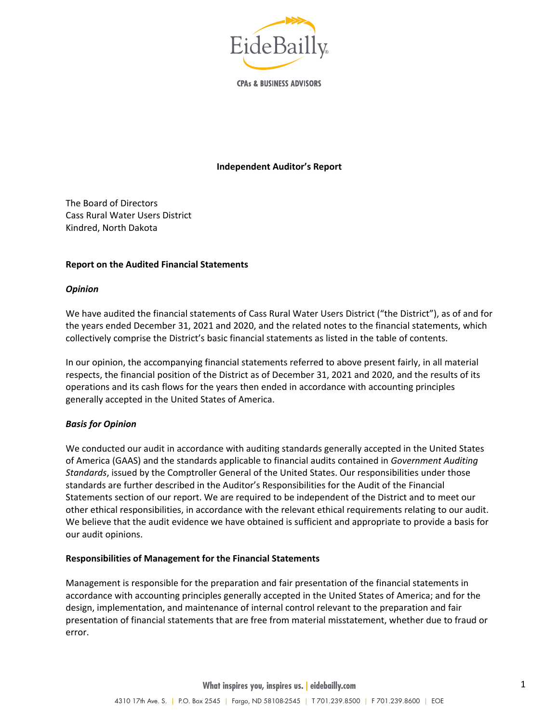

**CPAs & BUSINESS ADVISORS** 

#### **Independent Auditor's Report**

The Board of Directors Cass Rural Water Users District Kindred, North Dakota

#### **Report on the Audited Financial Statements**

#### *Opinion*

We have audited the financial statements of Cass Rural Water Users District ("the District"), as of and for the years ended December 31, 2021 and 2020, and the related notes to the financial statements, which collectively comprise the District's basic financial statements as listed in the table of contents.

In our opinion, the accompanying financial statements referred to above present fairly, in all material respects, the financial position of the District as of December 31, 2021 and 2020, and the results of its operations and its cash flows for the years then ended in accordance with accounting principles generally accepted in the United States of America.

### *Basis for Opinion*

We conducted our audit in accordance with auditing standards generally accepted in the United States of America (GAAS) and the standards applicable to financial audits contained in *Government Auditing Standards*, issued by the Comptroller General of the United States. Our responsibilities under those standards are further described in the Auditor's Responsibilities for the Audit of the Financial Statements section of our report. We are required to be independent of the District and to meet our other ethical responsibilities, in accordance with the relevant ethical requirements relating to our audit. We believe that the audit evidence we have obtained is sufficient and appropriate to provide a basis for our audit opinions.

#### **Responsibilities of Management for the Financial Statements**

Management is responsible for the preparation and fair presentation of the financial statements in accordance with accounting principles generally accepted in the United States of America; and for the design, implementation, and maintenance of internal control relevant to the preparation and fair presentation of financial statements that are free from material misstatement, whether due to fraud or error.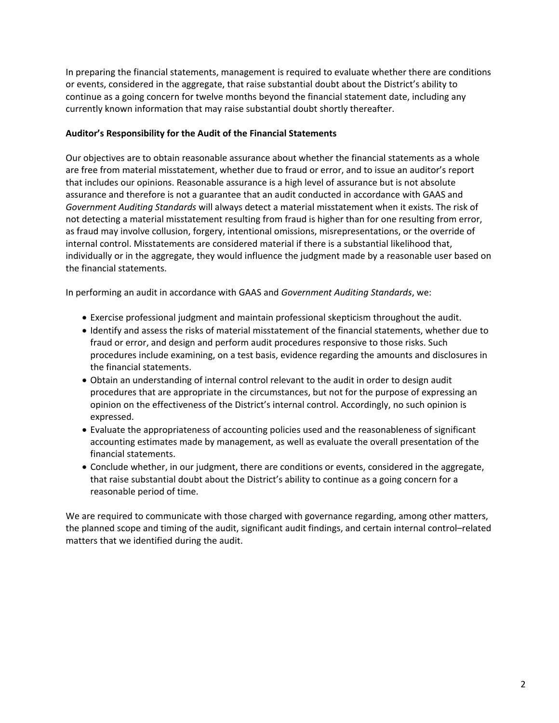In preparing the financial statements, management is required to evaluate whether there are conditions or events, considered in the aggregate, that raise substantial doubt about the District's ability to continue as a going concern for twelve months beyond the financial statement date, including any currently known information that may raise substantial doubt shortly thereafter.

## **Auditor's Responsibility for the Audit of the Financial Statements**

Our objectives are to obtain reasonable assurance about whether the financial statements as a whole are free from material misstatement, whether due to fraud or error, and to issue an auditor's report that includes our opinions. Reasonable assurance is a high level of assurance but is not absolute assurance and therefore is not a guarantee that an audit conducted in accordance with GAAS and *Government Auditing Standards* will always detect a material misstatement when it exists. The risk of not detecting a material misstatement resulting from fraud is higher than for one resulting from error, as fraud may involve collusion, forgery, intentional omissions, misrepresentations, or the override of internal control. Misstatements are considered material if there is a substantial likelihood that, individually or in the aggregate, they would influence the judgment made by a reasonable user based on the financial statements.

In performing an audit in accordance with GAAS and *Government Auditing Standards*, we:

- Exercise professional judgment and maintain professional skepticism throughout the audit.
- Identify and assess the risks of material misstatement of the financial statements, whether due to fraud or error, and design and perform audit procedures responsive to those risks. Such procedures include examining, on a test basis, evidence regarding the amounts and disclosures in the financial statements.
- Obtain an understanding of internal control relevant to the audit in order to design audit procedures that are appropriate in the circumstances, but not for the purpose of expressing an opinion on the effectiveness of the District's internal control. Accordingly, no such opinion is expressed.
- Evaluate the appropriateness of accounting policies used and the reasonableness of significant accounting estimates made by management, as well as evaluate the overall presentation of the financial statements.
- Conclude whether, in our judgment, there are conditions or events, considered in the aggregate, that raise substantial doubt about the District's ability to continue as a going concern for a reasonable period of time.

We are required to communicate with those charged with governance regarding, among other matters, the planned scope and timing of the audit, significant audit findings, and certain internal control–related matters that we identified during the audit.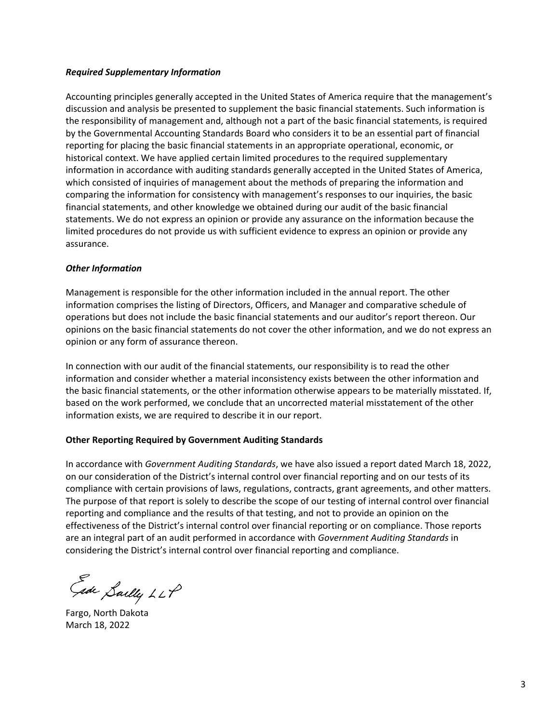### *Required Supplementary Information*

Accounting principles generally accepted in the United States of America require that the management's discussion and analysis be presented to supplement the basic financial statements. Such information is the responsibility of management and, although not a part of the basic financial statements, is required by the Governmental Accounting Standards Board who considers it to be an essential part of financial reporting for placing the basic financial statements in an appropriate operational, economic, or historical context. We have applied certain limited procedures to the required supplementary information in accordance with auditing standards generally accepted in the United States of America, which consisted of inquiries of management about the methods of preparing the information and comparing the information for consistency with management's responses to our inquiries, the basic financial statements, and other knowledge we obtained during our audit of the basic financial statements. We do not express an opinion or provide any assurance on the information because the limited procedures do not provide us with sufficient evidence to express an opinion or provide any assurance.

### *Other Information*

Management is responsible for the other information included in the annual report. The other information comprises the listing of Directors, Officers, and Manager and comparative schedule of operations but does not include the basic financial statements and our auditor's report thereon. Our opinions on the basic financial statements do not cover the other information, and we do not express an opinion or any form of assurance thereon.

In connection with our audit of the financial statements, our responsibility is to read the other information and consider whether a material inconsistency exists between the other information and the basic financial statements, or the other information otherwise appears to be materially misstated. If, based on the work performed, we conclude that an uncorrected material misstatement of the other information exists, we are required to describe it in our report.

### **Other Reporting Required by Government Auditing Standards**

In accordance with *Government Auditing Standards*, we have also issued a report dated March 18, 2022, on our consideration of the District's internal control over financial reporting and on our tests of its compliance with certain provisions of laws, regulations, contracts, grant agreements, and other matters. The purpose of that report is solely to describe the scope of our testing of internal control over financial reporting and compliance and the results of that testing, and not to provide an opinion on the effectiveness of the District's internal control over financial reporting or on compliance. Those reports are an integral part of an audit performed in accordance with *Government Auditing Standards* in considering the District's internal control over financial reporting and compliance.

Ede Sailly LLP

Fargo, North Dakota March 18, 2022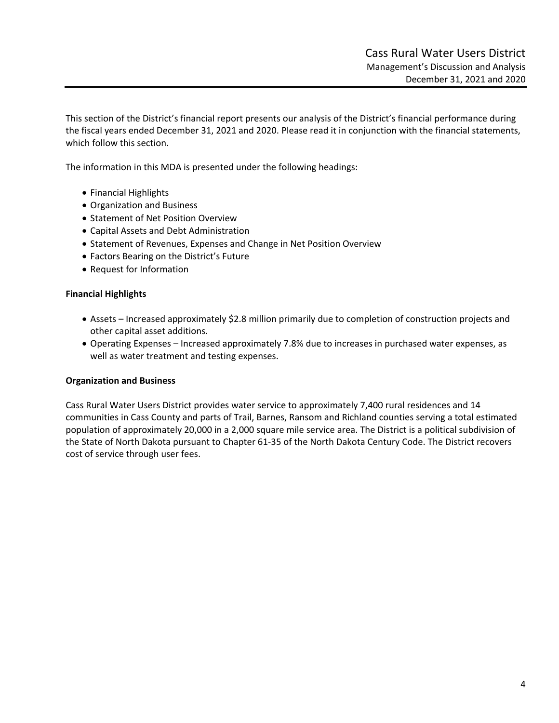This section of the District's financial report presents our analysis of the District's financial performance during the fiscal years ended December 31, 2021 and 2020. Please read it in conjunction with the financial statements, which follow this section.

The information in this MDA is presented under the following headings:

- Financial Highlights
- Organization and Business
- Statement of Net Position Overview
- Capital Assets and Debt Administration
- Statement of Revenues, Expenses and Change in Net Position Overview
- Factors Bearing on the District's Future
- Request for Information

#### **Financial Highlights**

- Assets Increased approximately \$2.8 million primarily due to completion of construction projects and other capital asset additions.
- Operating Expenses Increased approximately 7.8% due to increases in purchased water expenses, as well as water treatment and testing expenses.

#### **Organization and Business**

Cass Rural Water Users District provides water service to approximately 7,400 rural residences and 14 communities in Cass County and parts of Trail, Barnes, Ransom and Richland counties serving a total estimated population of approximately 20,000 in a 2,000 square mile service area. The District is a political subdivision of the State of North Dakota pursuant to Chapter 61‐35 of the North Dakota Century Code. The District recovers cost of service through user fees.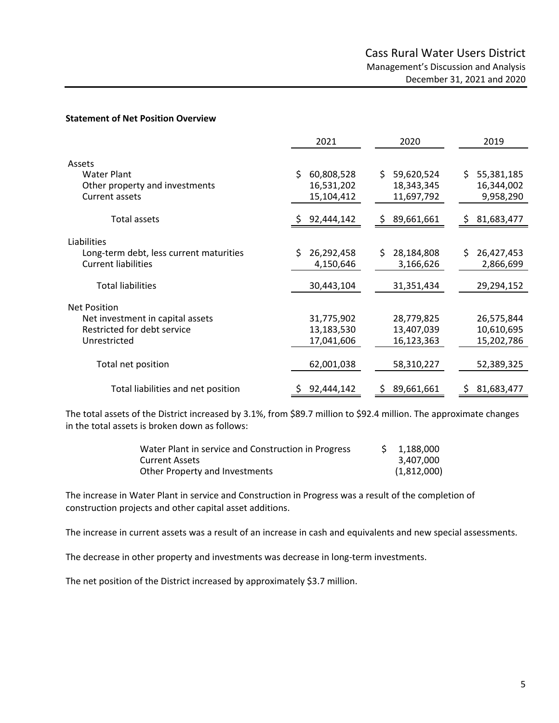#### **Statement of Net Position Overview**

|                                                                                 | 2021                                   | 2020                                   | 2019                                   |
|---------------------------------------------------------------------------------|----------------------------------------|----------------------------------------|----------------------------------------|
| Assets<br><b>Water Plant</b>                                                    | \$<br>60,808,528                       | \$.<br>59,620,524                      | \$.<br>55,381,185                      |
| Other property and investments<br><b>Current assets</b>                         | 16,531,202<br>15,104,412               | 18,343,345<br>11,697,792               | 16,344,002<br>9,958,290                |
| Total assets                                                                    | 92,444,142<br>S.                       | 89,661,661<br>\$                       | 81,683,477<br>S                        |
| Liabilities                                                                     |                                        |                                        |                                        |
| Long-term debt, less current maturities<br><b>Current liabilities</b>           | Ś.<br>26,292,458<br>4,150,646          | 28,184,808<br>Ś.<br>3,166,626          | 26,427,453<br>\$<br>2,866,699          |
| <b>Total liabilities</b>                                                        | 30,443,104                             | 31,351,434                             | 29,294,152                             |
| <b>Net Position</b>                                                             |                                        |                                        |                                        |
| Net investment in capital assets<br>Restricted for debt service<br>Unrestricted | 31,775,902<br>13,183,530<br>17,041,606 | 28,779,825<br>13,407,039<br>16,123,363 | 26,575,844<br>10,610,695<br>15,202,786 |
| Total net position                                                              | 62,001,038                             | 58,310,227                             | 52,389,325                             |
| Total liabilities and net position                                              | 92,444,142                             | 89,661,661<br>S                        | 81,683,477<br>S.                       |

The total assets of the District increased by 3.1%, from \$89.7 million to \$92.4 million. The approximate changes in the total assets is broken down as follows:

| Water Plant in service and Construction in Progress | 1,188,000   |
|-----------------------------------------------------|-------------|
| <b>Current Assets</b>                               | 3.407.000   |
| Other Property and Investments                      | (1,812,000) |

The increase in Water Plant in service and Construction in Progress was a result of the completion of construction projects and other capital asset additions.

The increase in current assets was a result of an increase in cash and equivalents and new special assessments.

The decrease in other property and investments was decrease in long‐term investments.

The net position of the District increased by approximately \$3.7 million.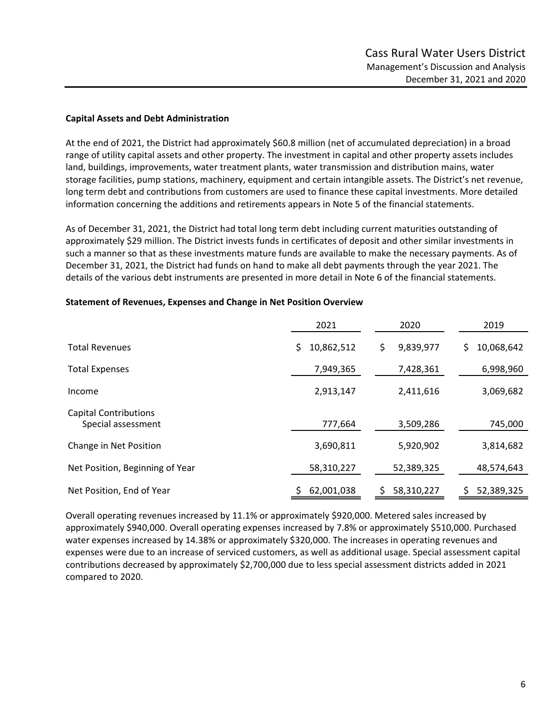### **Capital Assets and Debt Administration**

At the end of 2021, the District had approximately \$60.8 million (net of accumulated depreciation) in a broad range of utility capital assets and other property. The investment in capital and other property assets includes land, buildings, improvements, water treatment plants, water transmission and distribution mains, water storage facilities, pump stations, machinery, equipment and certain intangible assets. The District's net revenue, long term debt and contributions from customers are used to finance these capital investments. More detailed information concerning the additions and retirements appears in Note 5 of the financial statements.

As of December 31, 2021, the District had total long term debt including current maturities outstanding of approximately \$29 million. The District invests funds in certificates of deposit and other similar investments in such a manner so that as these investments mature funds are available to make the necessary payments. As of December 31, 2021, the District had funds on hand to make all debt payments through the year 2021. The details of the various debt instruments are presented in more detail in Note 6 of the financial statements.

|                                                    | 2021             | 2020           | 2019             |
|----------------------------------------------------|------------------|----------------|------------------|
| <b>Total Revenues</b>                              | 10,862,512<br>\$ | 9,839,977<br>S | 10,068,642<br>\$ |
| <b>Total Expenses</b>                              | 7,949,365        | 7,428,361      | 6,998,960        |
| Income                                             | 2,913,147        | 2,411,616      | 3,069,682        |
| <b>Capital Contributions</b><br>Special assessment | 777,664          | 3,509,286      | 745,000          |
| Change in Net Position                             | 3,690,811        | 5,920,902      | 3,814,682        |
| Net Position, Beginning of Year                    | 58,310,227       | 52,389,325     | 48,574,643       |
| Net Position, End of Year                          | 62,001,038       | 58,310,227     | 52,389,325       |

#### **Statement of Revenues, Expenses and Change in Net Position Overview**

Overall operating revenues increased by 11.1% or approximately \$920,000. Metered sales increased by approximately \$940,000. Overall operating expenses increased by 7.8% or approximately \$510,000. Purchased water expenses increased by 14.38% or approximately \$320,000. The increases in operating revenues and expenses were due to an increase of serviced customers, as well as additional usage. Special assessment capital contributions decreased by approximately \$2,700,000 due to less special assessment districts added in 2021 compared to 2020.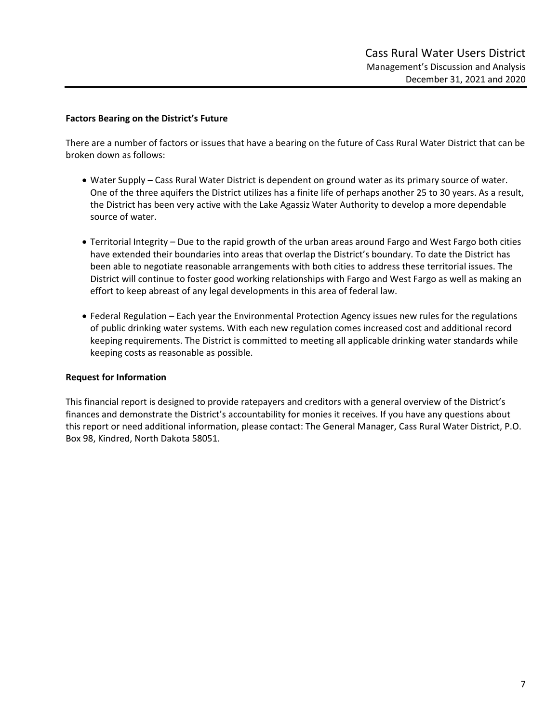#### **Factors Bearing on the District's Future**

There are a number of factors or issues that have a bearing on the future of Cass Rural Water District that can be broken down as follows:

- Water Supply Cass Rural Water District is dependent on ground water as its primary source of water. One of the three aquifers the District utilizes has a finite life of perhaps another 25 to 30 years. As a result, the District has been very active with the Lake Agassiz Water Authority to develop a more dependable source of water.
- Territorial Integrity Due to the rapid growth of the urban areas around Fargo and West Fargo both cities have extended their boundaries into areas that overlap the District's boundary. To date the District has been able to negotiate reasonable arrangements with both cities to address these territorial issues. The District will continue to foster good working relationships with Fargo and West Fargo as well as making an effort to keep abreast of any legal developments in this area of federal law.
- Federal Regulation Each year the Environmental Protection Agency issues new rules for the regulations of public drinking water systems. With each new regulation comes increased cost and additional record keeping requirements. The District is committed to meeting all applicable drinking water standards while keeping costs as reasonable as possible.

#### **Request for Information**

This financial report is designed to provide ratepayers and creditors with a general overview of the District's finances and demonstrate the District's accountability for monies it receives. If you have any questions about this report or need additional information, please contact: The General Manager, Cass Rural Water District, P.O. Box 98, Kindred, North Dakota 58051.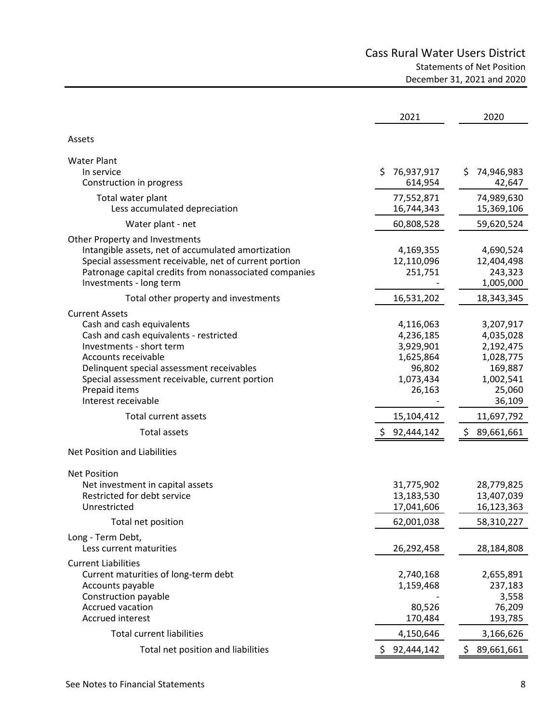# Cass Rural Water Users District Statements of Net Position December 31, 2021 and 2020

|                                                        | 2021              | 2020             |
|--------------------------------------------------------|-------------------|------------------|
| Assets                                                 |                   |                  |
|                                                        |                   |                  |
| <b>Water Plant</b><br>In service                       | 76,937,917<br>\$. | \$<br>74,946,983 |
| Construction in progress                               | 614,954           | 42,647           |
| Total water plant                                      | 77,552,871        | 74,989,630       |
| Less accumulated depreciation                          | 16,744,343        | 15,369,106       |
| Water plant - net                                      | 60,808,528        | 59,620,524       |
| Other Property and Investments                         |                   |                  |
| Intangible assets, net of accumulated amortization     | 4,169,355         | 4,690,524        |
| Special assessment receivable, net of current portion  | 12,110,096        | 12,404,498       |
| Patronage capital credits from nonassociated companies | 251,751           | 243,323          |
| Investments - long term                                |                   | 1,005,000        |
| Total other property and investments                   | 16,531,202        | 18,343,345       |
| <b>Current Assets</b>                                  |                   |                  |
| Cash and cash equivalents                              | 4,116,063         | 3,207,917        |
| Cash and cash equivalents - restricted                 | 4,236,185         | 4,035,028        |
| Investments - short term                               | 3,929,901         | 2,192,475        |
| Accounts receivable                                    | 1,625,864         | 1,028,775        |
| Delinquent special assessment receivables              | 96,802            | 169,887          |
| Special assessment receivable, current portion         | 1,073,434         | 1,002,541        |
| Prepaid items                                          | 26,163            | 25,060           |
| Interest receivable                                    |                   | 36,109           |
| <b>Total current assets</b>                            | 15,104,412        | 11,697,792       |
| <b>Total assets</b>                                    | \$92,444,142      | 89,661,661       |
| Net Position and Liabilities                           |                   |                  |
| <b>Net Position</b>                                    |                   |                  |
| Net investment in capital assets                       | 31,775,902        | 28,779,825       |
| Restricted for debt service                            | 13,183,530        | 13,407,039       |
| Unrestricted                                           | 17,041,606        | 16,123,363       |
| Total net position                                     | 62,001,038        | 58,310,227       |
| Long - Term Debt,                                      |                   |                  |
| Less current maturities                                | 26,292,458        | 28,184,808       |
| <b>Current Liabilities</b>                             |                   |                  |
| Current maturities of long-term debt                   | 2,740,168         | 2,655,891        |
| Accounts payable                                       | 1,159,468         | 237,183          |
| Construction payable                                   |                   | 3,558            |
| Accrued vacation                                       | 80,526            | 76,209           |
| Accrued interest                                       | 170,484           | 193,785          |
| <b>Total current liabilities</b>                       | 4,150,646         | 3,166,626        |
| Total net position and liabilities                     | 92,444,142<br>\$. | \$<br>89,661,661 |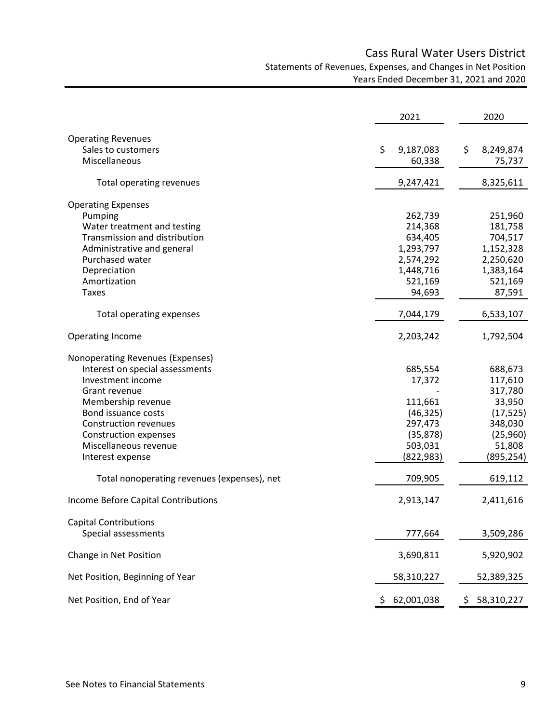# Cass Rural Water Users District Statements of Revenues, Expenses, and Changes in Net Position Years Ended December 31, 2021 and 2020

|                                             | 2021            | 2020            |
|---------------------------------------------|-----------------|-----------------|
| <b>Operating Revenues</b>                   |                 |                 |
| Sales to customers                          | Ś.<br>9,187,083 | \$<br>8,249,874 |
| Miscellaneous                               | 60,338          | 75,737          |
|                                             |                 |                 |
| Total operating revenues                    | 9,247,421       | 8,325,611       |
| <b>Operating Expenses</b>                   |                 |                 |
| Pumping                                     | 262,739         | 251,960         |
| Water treatment and testing                 | 214,368         | 181,758         |
| Transmission and distribution               | 634,405         | 704,517         |
| Administrative and general                  | 1,293,797       | 1,152,328       |
| Purchased water                             | 2,574,292       | 2,250,620       |
| Depreciation                                | 1,448,716       | 1,383,164       |
| Amortization                                | 521,169         | 521,169         |
| <b>Taxes</b>                                | 94,693          | 87,591          |
| <b>Total operating expenses</b>             | 7,044,179       | 6,533,107       |
|                                             |                 |                 |
| <b>Operating Income</b>                     | 2,203,242       | 1,792,504       |
| Nonoperating Revenues (Expenses)            |                 |                 |
| Interest on special assessments             | 685,554         | 688,673         |
| Investment income                           | 17,372          | 117,610         |
| Grant revenue                               |                 | 317,780         |
| Membership revenue                          | 111,661         | 33,950          |
| Bond issuance costs                         | (46, 325)       | (17, 525)       |
| <b>Construction revenues</b>                | 297,473         | 348,030         |
| <b>Construction expenses</b>                | (35, 878)       | (25,960)        |
| Miscellaneous revenue                       | 503,031         | 51,808          |
| Interest expense                            | (822, 983)      | (895, 254)      |
| Total nonoperating revenues (expenses), net | 709,905         | 619,112         |
| <b>Income Before Capital Contributions</b>  | 2,913,147       | 2,411,616       |
| <b>Capital Contributions</b>                |                 |                 |
| Special assessments                         | 777,664         | 3,509,286       |
|                                             |                 |                 |
| Change in Net Position                      | 3,690,811       | 5,920,902       |
| Net Position, Beginning of Year             | 58,310,227      | 52,389,325      |
| Net Position, End of Year                   | 62,001,038      | 58,310,227<br>S |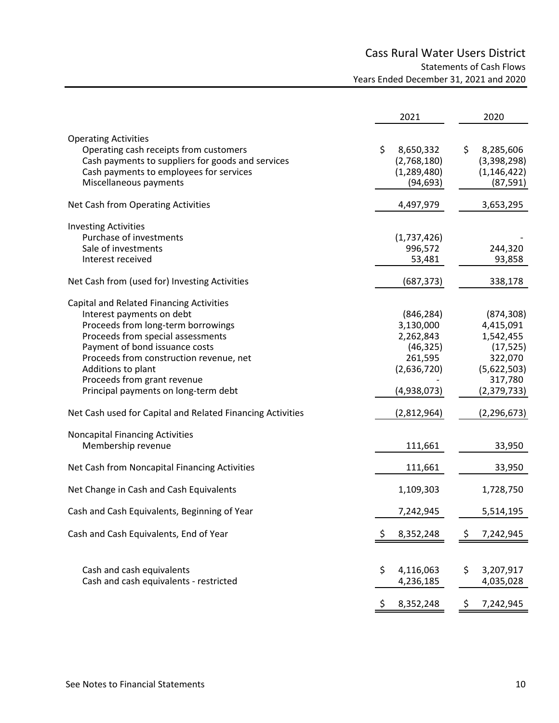# Cass Rural Water Users District Statements of Cash Flows Years Ended December 31, 2021 and 2020

|                                                                                                                                                                                                                                                                                                                            | 2021                                                                                       | 2020                                                                                                  |
|----------------------------------------------------------------------------------------------------------------------------------------------------------------------------------------------------------------------------------------------------------------------------------------------------------------------------|--------------------------------------------------------------------------------------------|-------------------------------------------------------------------------------------------------------|
| <b>Operating Activities</b><br>Operating cash receipts from customers<br>Cash payments to suppliers for goods and services<br>Cash payments to employees for services<br>Miscellaneous payments                                                                                                                            | \$<br>8,650,332<br>(2,768,180)<br>(1,289,480)<br>(94, 693)                                 | \$<br>8,285,606<br>(3,398,298)<br>(1, 146, 422)<br>(87, 591)                                          |
| Net Cash from Operating Activities                                                                                                                                                                                                                                                                                         | 4,497,979                                                                                  | 3,653,295                                                                                             |
| <b>Investing Activities</b><br>Purchase of investments<br>Sale of investments<br>Interest received                                                                                                                                                                                                                         | (1,737,426)<br>996,572<br>53,481                                                           | 244,320<br>93,858                                                                                     |
| Net Cash from (used for) Investing Activities                                                                                                                                                                                                                                                                              | (687, 373)                                                                                 | 338,178                                                                                               |
| Capital and Related Financing Activities<br>Interest payments on debt<br>Proceeds from long-term borrowings<br>Proceeds from special assessments<br>Payment of bond issuance costs<br>Proceeds from construction revenue, net<br>Additions to plant<br>Proceeds from grant revenue<br>Principal payments on long-term debt | (846, 284)<br>3,130,000<br>2,262,843<br>(46, 325)<br>261,595<br>(2,636,720)<br>(4,938,073) | (874, 308)<br>4,415,091<br>1,542,455<br>(17, 525)<br>322,070<br>(5,622,503)<br>317,780<br>(2,379,733) |
| Net Cash used for Capital and Related Financing Activities                                                                                                                                                                                                                                                                 | (2,812,964)                                                                                | (2, 296, 673)                                                                                         |
| <b>Noncapital Financing Activities</b><br>Membership revenue                                                                                                                                                                                                                                                               | 111,661                                                                                    | 33,950                                                                                                |
| Net Cash from Noncapital Financing Activities                                                                                                                                                                                                                                                                              | 111,661                                                                                    | 33,950                                                                                                |
| Net Change in Cash and Cash Equivalents                                                                                                                                                                                                                                                                                    | 1,109,303                                                                                  | 1,728,750                                                                                             |
| Cash and Cash Equivalents, Beginning of Year                                                                                                                                                                                                                                                                               | 7,242,945                                                                                  | 5,514,195                                                                                             |
| Cash and Cash Equivalents, End of Year                                                                                                                                                                                                                                                                                     | \$<br>8,352,248                                                                            | 7,242,945<br>Ş                                                                                        |
| Cash and cash equivalents<br>Cash and cash equivalents - restricted                                                                                                                                                                                                                                                        | \$<br>4,116,063<br>4,236,185                                                               | \$<br>3,207,917<br>4,035,028                                                                          |
|                                                                                                                                                                                                                                                                                                                            | \$<br>8,352,248                                                                            | \$<br>7,242,945                                                                                       |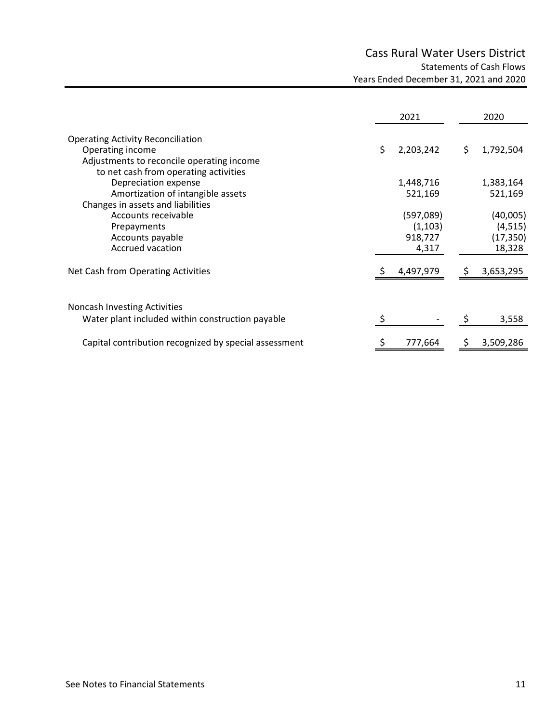# Cass Rural Water Users District Statements of Cash Flows Years Ended December 31, 2021 and 2020

|                                                           |    | 2021                 |     | 2020                 |
|-----------------------------------------------------------|----|----------------------|-----|----------------------|
| <b>Operating Activity Reconciliation</b>                  |    |                      |     |                      |
| Operating income                                          | Ś. | 2,203,242            | \$. | 1,792,504            |
| Adjustments to reconcile operating income                 |    |                      |     |                      |
| to net cash from operating activities                     |    |                      |     |                      |
| Depreciation expense<br>Amortization of intangible assets |    | 1,448,716<br>521,169 |     | 1,383,164<br>521,169 |
| Changes in assets and liabilities                         |    |                      |     |                      |
| Accounts receivable                                       |    | (597,089)            |     | (40,005)             |
| Prepayments                                               |    | (1, 103)             |     | (4, 515)             |
| Accounts payable                                          |    | 918,727              |     | (17, 350)            |
| Accrued vacation                                          |    | 4,317                |     | 18,328               |
| Net Cash from Operating Activities                        |    | 4,497,979            | S   | 3,653,295            |
|                                                           |    |                      |     |                      |
| <b>Noncash Investing Activities</b>                       |    |                      |     |                      |
| Water plant included within construction payable          |    |                      |     | 3,558                |
| Capital contribution recognized by special assessment     |    | 777,664              |     | 3,509,286            |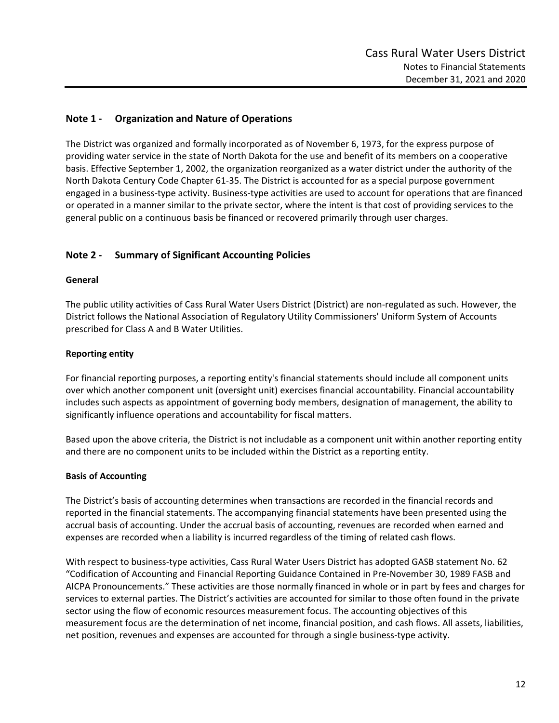# **Note 1 ‐ Organization and Nature of Operations**

The District was organized and formally incorporated as of November 6, 1973, for the express purpose of providing water service in the state of North Dakota for the use and benefit of its members on a cooperative basis. Effective September 1, 2002, the organization reorganized as a water district under the authority of the North Dakota Century Code Chapter 61‐35. The District is accounted for as a special purpose government engaged in a business‐type activity. Business‐type activities are used to account for operations that are financed or operated in a manner similar to the private sector, where the intent is that cost of providing services to the general public on a continuous basis be financed or recovered primarily through user charges.

# **Note 2 ‐ Summary of Significant Accounting Policies**

### **General**

The public utility activities of Cass Rural Water Users District (District) are non‐regulated as such. However, the District follows the National Association of Regulatory Utility Commissioners' Uniform System of Accounts prescribed for Class A and B Water Utilities.

## **Reporting entity**

For financial reporting purposes, a reporting entity's financial statements should include all component units over which another component unit (oversight unit) exercises financial accountability. Financial accountability includes such aspects as appointment of governing body members, designation of management, the ability to significantly influence operations and accountability for fiscal matters.

Based upon the above criteria, the District is not includable as a component unit within another reporting entity and there are no component units to be included within the District as a reporting entity.

### **Basis of Accounting**

The District's basis of accounting determines when transactions are recorded in the financial records and reported in the financial statements. The accompanying financial statements have been presented using the accrual basis of accounting. Under the accrual basis of accounting, revenues are recorded when earned and expenses are recorded when a liability is incurred regardless of the timing of related cash flows.

With respect to business‐type activities, Cass Rural Water Users District has adopted GASB statement No. 62 "Codification of Accounting and Financial Reporting Guidance Contained in Pre‐November 30, 1989 FASB and AICPA Pronouncements." These activities are those normally financed in whole or in part by fees and charges for services to external parties. The District's activities are accounted for similar to those often found in the private sector using the flow of economic resources measurement focus. The accounting objectives of this measurement focus are the determination of net income, financial position, and cash flows. All assets, liabilities, net position, revenues and expenses are accounted for through a single business‐type activity.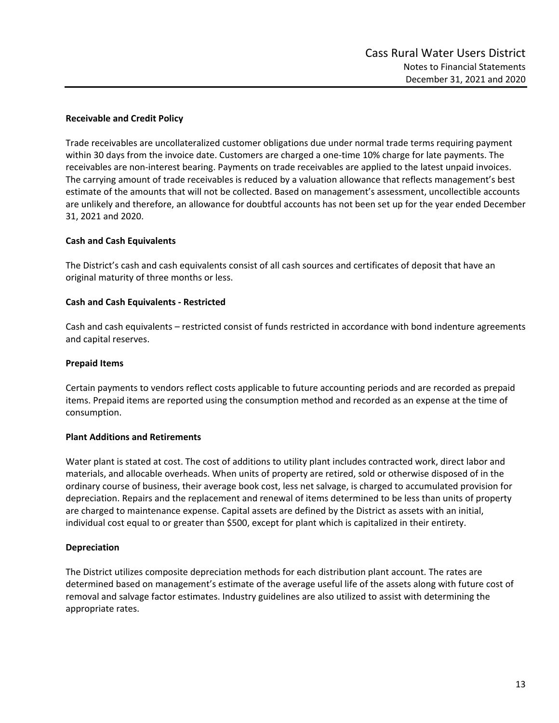### **Receivable and Credit Policy**

Trade receivables are uncollateralized customer obligations due under normal trade terms requiring payment within 30 days from the invoice date. Customers are charged a one-time 10% charge for late payments. The receivables are non‐interest bearing. Payments on trade receivables are applied to the latest unpaid invoices. The carrying amount of trade receivables is reduced by a valuation allowance that reflects management's best estimate of the amounts that will not be collected. Based on management's assessment, uncollectible accounts are unlikely and therefore, an allowance for doubtful accounts has not been set up for the year ended December 31, 2021 and 2020.

### **Cash and Cash Equivalents**

The District's cash and cash equivalents consist of all cash sources and certificates of deposit that have an original maturity of three months or less.

### **Cash and Cash Equivalents ‐ Restricted**

Cash and cash equivalents – restricted consist of funds restricted in accordance with bond indenture agreements and capital reserves.

### **Prepaid Items**

Certain payments to vendors reflect costs applicable to future accounting periods and are recorded as prepaid items. Prepaid items are reported using the consumption method and recorded as an expense at the time of consumption.

### **Plant Additions and Retirements**

Water plant is stated at cost. The cost of additions to utility plant includes contracted work, direct labor and materials, and allocable overheads. When units of property are retired, sold or otherwise disposed of in the ordinary course of business, their average book cost, less net salvage, is charged to accumulated provision for depreciation. Repairs and the replacement and renewal of items determined to be less than units of property are charged to maintenance expense. Capital assets are defined by the District as assets with an initial, individual cost equal to or greater than \$500, except for plant which is capitalized in their entirety.

### **Depreciation**

The District utilizes composite depreciation methods for each distribution plant account. The rates are determined based on management's estimate of the average useful life of the assets along with future cost of removal and salvage factor estimates. Industry guidelines are also utilized to assist with determining the appropriate rates.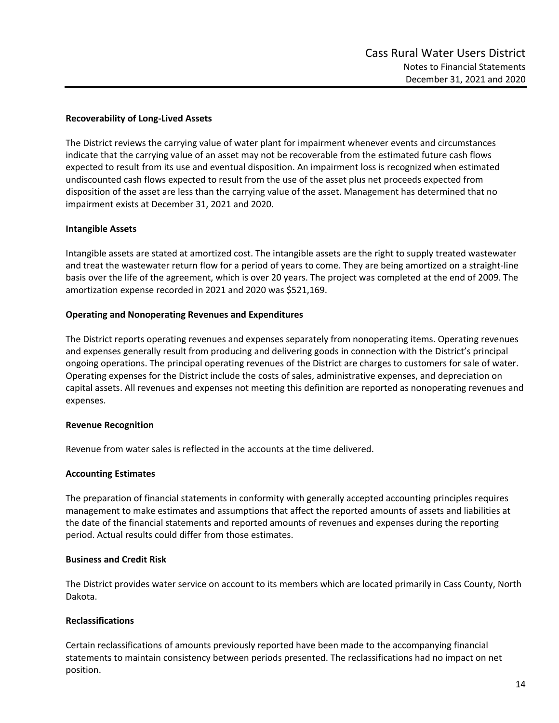### **Recoverability of Long‐Lived Assets**

The District reviews the carrying value of water plant for impairment whenever events and circumstances indicate that the carrying value of an asset may not be recoverable from the estimated future cash flows expected to result from its use and eventual disposition. An impairment loss is recognized when estimated undiscounted cash flows expected to result from the use of the asset plus net proceeds expected from disposition of the asset are less than the carrying value of the asset. Management has determined that no impairment exists at December 31, 2021 and 2020.

## **Intangible Assets**

Intangible assets are stated at amortized cost. The intangible assets are the right to supply treated wastewater and treat the wastewater return flow for a period of years to come. They are being amortized on a straight‐line basis over the life of the agreement, which is over 20 years. The project was completed at the end of 2009. The amortization expense recorded in 2021 and 2020 was \$521,169.

## **Operating and Nonoperating Revenues and Expenditures**

The District reports operating revenues and expenses separately from nonoperating items. Operating revenues and expenses generally result from producing and delivering goods in connection with the District's principal ongoing operations. The principal operating revenues of the District are charges to customers for sale of water. Operating expenses for the District include the costs of sales, administrative expenses, and depreciation on capital assets. All revenues and expenses not meeting this definition are reported as nonoperating revenues and expenses.

### **Revenue Recognition**

Revenue from water sales is reflected in the accounts at the time delivered.

### **Accounting Estimates**

The preparation of financial statements in conformity with generally accepted accounting principles requires management to make estimates and assumptions that affect the reported amounts of assets and liabilities at the date of the financial statements and reported amounts of revenues and expenses during the reporting period. Actual results could differ from those estimates.

# **Business and Credit Risk**

The District provides water service on account to its members which are located primarily in Cass County, North Dakota.

### **Reclassifications**

Certain reclassifications of amounts previously reported have been made to the accompanying financial statements to maintain consistency between periods presented. The reclassifications had no impact on net position.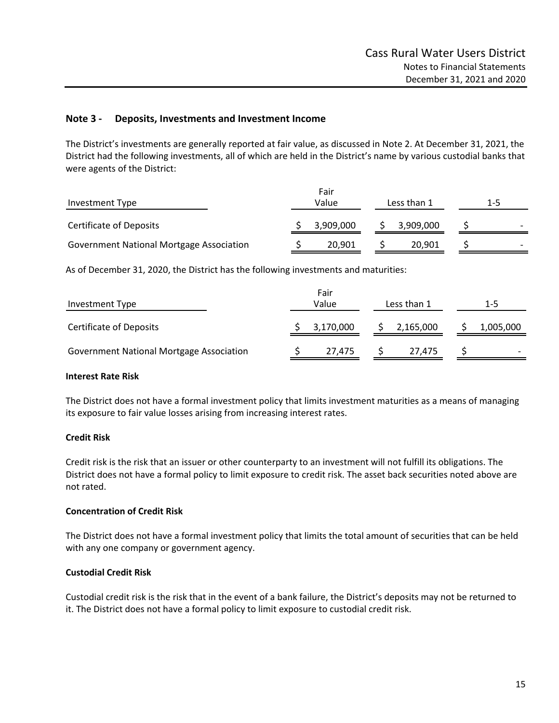### **Note 3 ‐ Deposits, Investments and Investment Income**

The District's investments are generally reported at fair value, as discussed in Note 2. At December 31, 2021, the District had the following investments, all of which are held in the District's name by various custodial banks that were agents of the District:

| Investment Type                                 | Fair<br>Value<br>Less than 1 |           |  |           |  | $1 - 5$ |  |
|-------------------------------------------------|------------------------------|-----------|--|-----------|--|---------|--|
| <b>Certificate of Deposits</b>                  |                              | 3,909,000 |  | 3,909,000 |  |         |  |
| <b>Government National Mortgage Association</b> |                              | 20,901    |  | 20,901    |  |         |  |

As of December 31, 2020, the District has the following investments and maturities:

| Investment Type                                 | Fair<br>Value<br>Less than 1 |           |  | $1 - 5$   |                          |
|-------------------------------------------------|------------------------------|-----------|--|-----------|--------------------------|
| <b>Certificate of Deposits</b>                  |                              | 3,170,000 |  | 2,165,000 | 1,005,000                |
| <b>Government National Mortgage Association</b> |                              | 27.475    |  | 27.475    | $\overline{\phantom{0}}$ |

## **Interest Rate Risk**

The District does not have a formal investment policy that limits investment maturities as a means of managing its exposure to fair value losses arising from increasing interest rates.

### **Credit Risk**

Credit risk is the risk that an issuer or other counterparty to an investment will not fulfill its obligations. The District does not have a formal policy to limit exposure to credit risk. The asset back securities noted above are not rated.

### **Concentration of Credit Risk**

The District does not have a formal investment policy that limits the total amount of securities that can be held with any one company or government agency.

### **Custodial Credit Risk**

Custodial credit risk is the risk that in the event of a bank failure, the District's deposits may not be returned to it. The District does not have a formal policy to limit exposure to custodial credit risk.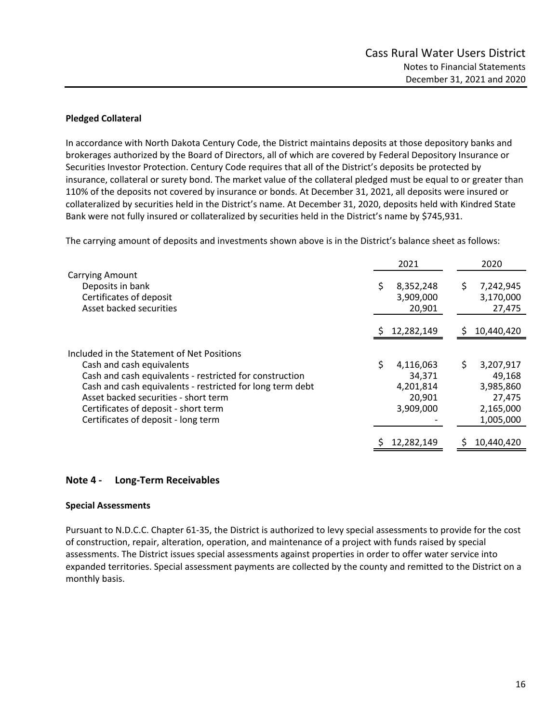### **Pledged Collateral**

In accordance with North Dakota Century Code, the District maintains deposits at those depository banks and brokerages authorized by the Board of Directors, all of which are covered by Federal Depository Insurance or Securities Investor Protection. Century Code requires that all of the District's deposits be protected by insurance, collateral or surety bond. The market value of the collateral pledged must be equal to or greater than 110% of the deposits not covered by insurance or bonds. At December 31, 2021, all deposits were insured or collateralized by securities held in the District's name. At December 31, 2020, deposits held with Kindred State Bank were not fully insured or collateralized by securities held in the District's name by \$745,931.

The carrying amount of deposits and investments shown above is in the District's balance sheet as follows:

|                                                           | 2021            | 2020            |
|-----------------------------------------------------------|-----------------|-----------------|
| <b>Carrying Amount</b>                                    |                 |                 |
| Deposits in bank                                          | 8,352,248<br>\$ | S<br>7,242,945  |
| Certificates of deposit                                   | 3,909,000       | 3,170,000       |
| Asset backed securities                                   | 20,901          | 27,475          |
|                                                           | 12,282,149<br>S | 10,440,420<br>S |
|                                                           |                 |                 |
| Included in the Statement of Net Positions                |                 |                 |
| Cash and cash equivalents                                 | Ś.<br>4,116,063 | \$<br>3,207,917 |
| Cash and cash equivalents - restricted for construction   | 34,371          | 49,168          |
| Cash and cash equivalents - restricted for long term debt | 4,201,814       | 3,985,860       |
| Asset backed securities - short term                      | 20,901          | 27,475          |
| Certificates of deposit - short term                      | 3,909,000       | 2,165,000       |
| Certificates of deposit - long term                       |                 | 1,005,000       |
|                                                           |                 |                 |
|                                                           | 12,282,149      | 10,440,420      |

### **Note 4 ‐ Long‐Term Receivables**

### **Special Assessments**

Pursuant to N.D.C.C. Chapter 61‐35, the District is authorized to levy special assessments to provide for the cost of construction, repair, alteration, operation, and maintenance of a project with funds raised by special assessments. The District issues special assessments against properties in order to offer water service into expanded territories. Special assessment payments are collected by the county and remitted to the District on a monthly basis.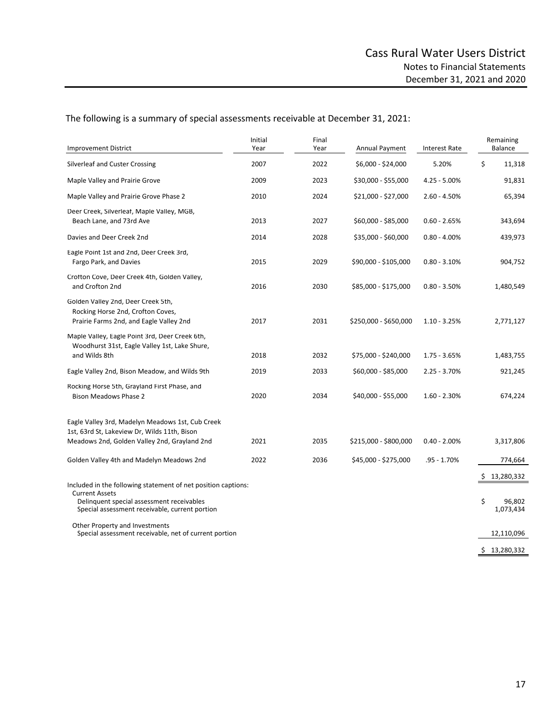The following is a summary of special assessments receivable at December 31, 2021:

| <b>Improvement District</b>                                                                                                                                                           | Initial<br>Year | Final<br>Year | Annual Payment        | <b>Interest Rate</b> | Remaining<br>Balance                          |
|---------------------------------------------------------------------------------------------------------------------------------------------------------------------------------------|-----------------|---------------|-----------------------|----------------------|-----------------------------------------------|
| Silverleaf and Custer Crossing                                                                                                                                                        | 2007            | 2022          | \$6,000 - \$24,000    | 5.20%                | \$<br>11,318                                  |
| Maple Valley and Prairie Grove                                                                                                                                                        | 2009            | 2023          | \$30,000 - \$55,000   | $4.25 - 5.00\%$      | 91,831                                        |
| Maple Valley and Prairie Grove Phase 2                                                                                                                                                | 2010            | 2024          | \$21,000 - \$27,000   | $2.60 - 4.50%$       | 65,394                                        |
| Deer Creek, Silverleaf, Maple Valley, MGB,<br>Beach Lane, and 73rd Ave                                                                                                                | 2013            | 2027          | \$60,000 - \$85,000   | $0.60 - 2.65%$       | 343,694                                       |
| Davies and Deer Creek 2nd                                                                                                                                                             | 2014            | 2028          | \$35,000 - \$60,000   | $0.80 - 4.00\%$      | 439,973                                       |
| Eagle Point 1st and 2nd, Deer Creek 3rd,<br>Fargo Park, and Davies                                                                                                                    | 2015            | 2029          | \$90,000 - \$105,000  | $0.80 - 3.10%$       | 904,752                                       |
| Crotton Cove, Deer Creek 4th, Golden Valley,<br>and Crofton 2nd                                                                                                                       | 2016            | 2030          | \$85,000 - \$175,000  | $0.80 - 3.50%$       | 1,480,549                                     |
| Golden Valley 2nd, Deer Creek 5th,<br>Rocking Horse 2nd, Crofton Coves,<br>Prairie Farms 2nd, and Eagle Valley 2nd                                                                    | 2017            | 2031          | \$250,000 - \$650,000 | $1.10 - 3.25%$       | 2,771,127                                     |
| Maple Valley, Eagle Point 3rd, Deer Creek 6th,<br>Woodhurst 31st, Eagle Valley 1st, Lake Shure,<br>and Wilds 8th                                                                      | 2018            | 2032          | \$75,000 - \$240,000  | $1.75 - 3.65%$       | 1,483,755                                     |
| Eagle Valley 2nd, Bison Meadow, and Wilds 9th                                                                                                                                         | 2019            | 2033          | \$60,000 - \$85,000   | $2.25 - 3.70%$       | 921,245                                       |
| Rocking Horse 5th, Grayland First Phase, and<br><b>Bison Meadows Phase 2</b>                                                                                                          | 2020            | 2034          | \$40,000 - \$55,000   | $1.60 - 2.30%$       | 674,224                                       |
| Eagle Valley 3rd, Madelyn Meadows 1st, Cub Creek<br>1st, 63rd St, Lakeview Dr, Wilds 11th, Bison                                                                                      |                 |               |                       |                      |                                               |
| Meadows 2nd, Golden Valley 2nd, Grayland 2nd                                                                                                                                          | 2021            | 2035          | \$215,000 - \$800,000 | $0.40 - 2.00\%$      | 3,317,806                                     |
| Golden Valley 4th and Madelyn Meadows 2nd                                                                                                                                             | 2022            | 2036          | \$45,000 - \$275,000  | $.95 - 1.70%$        | 774,664                                       |
| Included in the following statement of net position captions:<br><b>Current Assets</b><br>Delinguent special assessment receivables<br>Special assessment receivable, current portion |                 |               |                       |                      | 13,280,332<br>\$<br>\$<br>96,802<br>1,073,434 |
| Other Property and Investments<br>Special assessment receivable, net of current portion                                                                                               |                 |               |                       |                      | 12,110,096                                    |
|                                                                                                                                                                                       |                 |               |                       |                      | \$13,280,332                                  |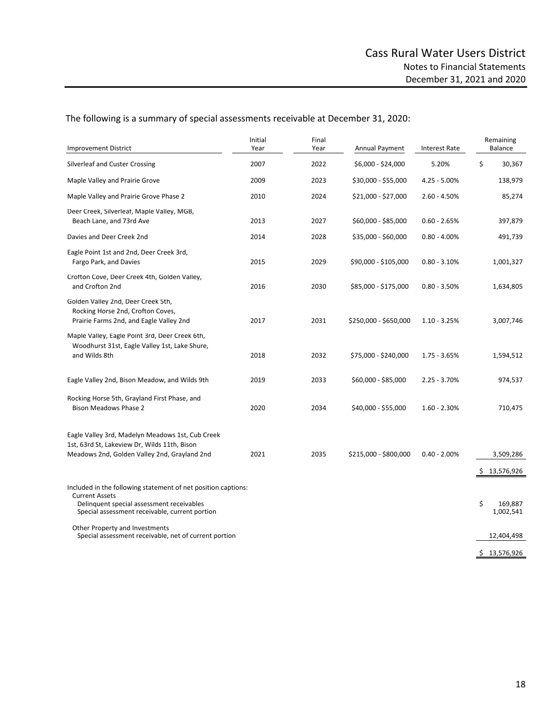The following is a summary of special assessments receivable at December 31, 2020:

| <b>Improvement District</b>                                                                                                                                                           | Initial<br>Year | Final<br>Year | Annual Payment        | <b>Interest Rate</b> | Remaining<br>Balance         |
|---------------------------------------------------------------------------------------------------------------------------------------------------------------------------------------|-----------------|---------------|-----------------------|----------------------|------------------------------|
| Silverleaf and Custer Crossing                                                                                                                                                        | 2007            | 2022          | \$6,000 - \$24,000    | 5.20%                | \$<br>30,367                 |
| Maple Valley and Prairie Grove                                                                                                                                                        | 2009            | 2023          | \$30,000 - \$55,000   | $4.25 - 5.00\%$      | 138,979                      |
| Maple Valley and Prairie Grove Phase 2                                                                                                                                                | 2010            | 2024          | \$21,000 - \$27,000   | $2.60 - 4.50%$       | 85,274                       |
| Deer Creek, Silverleat, Maple Valley, MGB,<br>Beach Lane, and 73rd Ave                                                                                                                | 2013            | 2027          | \$60,000 - \$85,000   | $0.60 - 2.65%$       | 397,879                      |
| Davies and Deer Creek 2nd                                                                                                                                                             | 2014            | 2028          | \$35,000 - \$60,000   | $0.80 - 4.00\%$      | 491,739                      |
| Eagle Point 1st and 2nd, Deer Creek 3rd,<br>Fargo Park, and Davies                                                                                                                    | 2015            | 2029          | \$90,000 - \$105,000  | $0.80 - 3.10%$       | 1,001,327                    |
| Crofton Cove, Deer Creek 4th, Golden Valley,<br>and Crofton 2nd                                                                                                                       | 2016            | 2030          | \$85,000 - \$175,000  | $0.80 - 3.50%$       | 1,634,805                    |
| Golden Valley 2nd, Deer Creek 5th,<br>Rocking Horse 2nd, Crofton Coves,<br>Prairie Farms 2nd, and Eagle Valley 2nd                                                                    | 2017            | 2031          | \$250,000 - \$650,000 | $1.10 - 3.25%$       | 3,007,746                    |
| Maple Valley, Eagle Point 3rd, Deer Creek 6th,<br>Woodhurst 31st, Eagle Valley 1st, Lake Shure,<br>and Wilds 8th                                                                      | 2018            | 2032          | \$75,000 - \$240,000  | $1.75 - 3.65%$       | 1,594,512                    |
| Eagle Valley 2nd, Bison Meadow, and Wilds 9th                                                                                                                                         | 2019            | 2033          | \$60,000 - \$85,000   | $2.25 - 3.70%$       | 974,537                      |
| Rocking Horse 5th, Grayland First Phase, and<br><b>Bison Meadows Phase 2</b>                                                                                                          | 2020            | 2034          | \$40,000 - \$55,000   | $1.60 - 2.30%$       | 710,475                      |
| Eagle Valley 3rd, Madelyn Meadows 1st, Cub Creek<br>1st, 63rd St, Lakeview Dr, Wilds 11th, Bison<br>Meadows 2nd, Golden Valley 2nd, Grayland 2nd                                      | 2021            | 2035          | \$215,000 - \$800,000 | $0.40 - 2.00\%$      | 3,509,286<br>13,576,926<br>S |
| Included in the following statement of net position captions:<br><b>Current Assets</b><br>Delinquent special assessment receivables<br>Special assessment receivable, current portion |                 |               |                       |                      | \$<br>169,887<br>1,002,541   |
| Other Property and Investments<br>Special assessment receivable, net of current portion                                                                                               |                 |               |                       |                      | 12,404,498                   |
|                                                                                                                                                                                       |                 |               |                       |                      | \$13,576,926                 |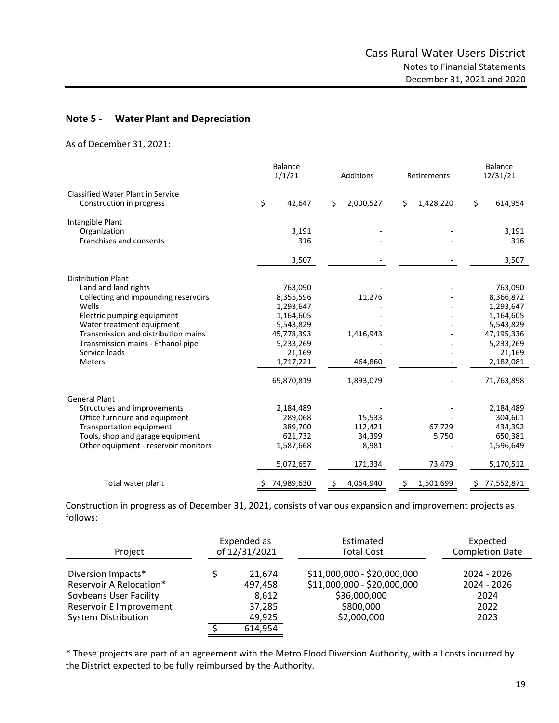### **Note 5 ‐ Water Plant and Depreciation**

As of December 31, 2021:

|                                                                      | <b>Balance</b><br>1/1/21 | <b>Additions</b> | Retirements     | <b>Balance</b><br>12/31/21 |
|----------------------------------------------------------------------|--------------------------|------------------|-----------------|----------------------------|
| <b>Classified Water Plant in Service</b><br>Construction in progress | 42,647<br>S.             | \$<br>2,000,527  | \$<br>1,428,220 | \$<br>614,954              |
| Intangible Plant                                                     |                          |                  |                 |                            |
| Organization<br>Franchises and consents                              | 3,191<br>316             |                  |                 | 3,191<br>316               |
|                                                                      | 3,507                    |                  |                 | 3,507                      |
| <b>Distribution Plant</b>                                            |                          |                  |                 |                            |
| Land and land rights                                                 | 763,090                  |                  |                 | 763,090                    |
| Collecting and impounding reservoirs                                 | 8,355,596                | 11,276           |                 | 8,366,872                  |
| Wells                                                                | 1,293,647                |                  |                 | 1,293,647                  |
| Electric pumping equipment                                           | 1,164,605                |                  |                 | 1,164,605                  |
| Water treatment equipment                                            | 5,543,829                |                  |                 | 5,543,829                  |
| Transmission and distribution mains                                  | 45,778,393               | 1,416,943        |                 | 47,195,336                 |
| Transmission mains - Ethanol pipe<br>Service leads                   | 5,233,269<br>21,169      |                  |                 | 5,233,269<br>21,169        |
| <b>Meters</b>                                                        | 1,717,221                | 464,860          |                 | 2,182,081                  |
|                                                                      | 69,870,819               | 1,893,079        |                 | 71,763,898                 |
| <b>General Plant</b>                                                 |                          |                  |                 |                            |
| Structures and improvements                                          | 2,184,489                |                  |                 | 2,184,489                  |
| Office furniture and equipment                                       | 289,068                  | 15,533           |                 | 304,601                    |
| Transportation equipment                                             | 389,700                  | 112,421          | 67,729          | 434,392                    |
| Tools, shop and garage equipment                                     | 621,732                  | 34,399           | 5,750           | 650,381                    |
| Other equipment - reservoir monitors                                 | 1,587,668                | 8,981            |                 | 1,596,649                  |
|                                                                      | 5,072,657                | 171,334          | 73,479          | 5,170,512                  |
| Total water plant                                                    | 74,989,630               | \$.<br>4,064,940 | Ŝ.<br>1,501,699 | 77,552,871<br>S            |

Construction in progress as of December 31, 2021, consists of various expansion and improvement projects as follows:

| Project                                                                                            | Expended as<br>of 12/31/2021         | Estimated<br><b>Total Cost</b>                                                          | Expected<br><b>Completion Date</b>         |
|----------------------------------------------------------------------------------------------------|--------------------------------------|-----------------------------------------------------------------------------------------|--------------------------------------------|
| Diversion Impacts*<br>Reservoir A Relocation*<br>Soybeans User Facility<br>Reservoir E Improvement | 21.674<br>497.458<br>8,612<br>37,285 | \$11,000,000 - \$20,000,000<br>\$11,000,000 - \$20,000,000<br>\$36,000,000<br>\$800,000 | 2024 - 2026<br>2024 - 2026<br>2024<br>2022 |
| System Distribution                                                                                | 49,925                               | \$2,000,000                                                                             | 2023                                       |
|                                                                                                    | 614,954                              |                                                                                         |                                            |

\* These projects are part of an agreement with the Metro Flood Diversion Authority, with all costs incurred by the District expected to be fully reimbursed by the Authority.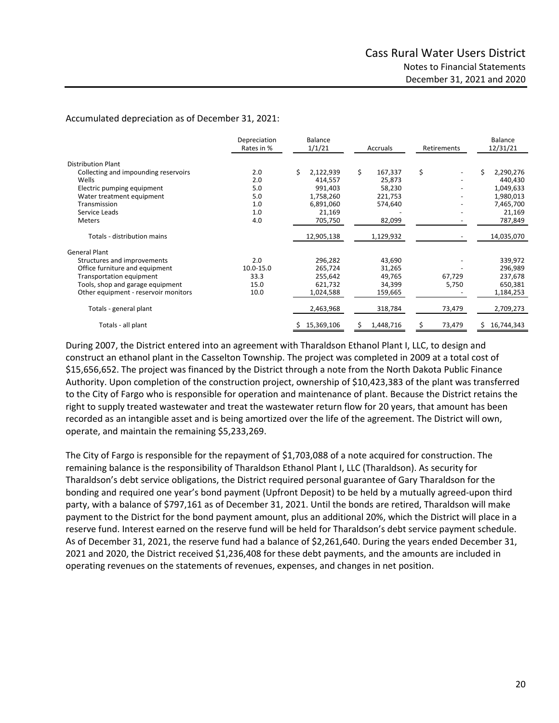Accumulated depreciation as of December 31, 2021:

|                                      | Depreciation<br>Rates in % | Balance<br>1/1/21 | Accruals        | Retirements  | Balance<br>12/31/21 |
|--------------------------------------|----------------------------|-------------------|-----------------|--------------|---------------------|
| <b>Distribution Plant</b>            |                            |                   |                 |              |                     |
| Collecting and impounding reservoirs | 2.0                        | \$<br>2,122,939   | \$<br>167,337   | \$           | Ś<br>2,290,276      |
| Wells                                | 2.0                        | 414,557           | 25,873          |              | 440,430             |
| Electric pumping equipment           | 5.0                        | 991,403           | 58,230          |              | 1,049,633           |
| Water treatment equipment            | 5.0                        | 1,758,260         | 221,753         |              | 1,980,013           |
| Transmission                         | 1.0                        | 6,891,060         | 574,640         |              | 7,465,700           |
| Service Leads                        | 1.0                        | 21,169            |                 |              | 21,169              |
| Meters                               | 4.0                        | 705,750           | 82,099          |              | 787,849             |
| Totals - distribution mains          |                            | 12,905,138        | 1,129,932       |              | 14,035,070          |
| <b>General Plant</b>                 |                            |                   |                 |              |                     |
| Structures and improvements          | 2.0                        | 296,282           | 43,690          |              | 339,972             |
| Office furniture and equipment       | 10.0-15.0                  | 265,724           | 31,265          |              | 296,989             |
| Transportation equipment             | 33.3                       | 255,642           | 49,765          | 67,729       | 237,678             |
| Tools, shop and garage equipment     | 15.0                       | 621,732           | 34,399          | 5,750        | 650,381             |
| Other equipment - reservoir monitors | 10.0                       | 1,024,588         | 159,665         |              | 1,184,253           |
| Totals - general plant               |                            | 2,463,968         | 318,784         | 73,479       | 2,709,273           |
| Totals - all plant                   |                            | Ś.<br>15,369,106  | 1,448,716<br>Ś. | \$<br>73,479 | 16,744,343<br>Ś.    |

During 2007, the District entered into an agreement with Tharaldson Ethanol Plant I, LLC, to design and construct an ethanol plant in the Casselton Township. The project was completed in 2009 at a total cost of \$15,656,652. The project was financed by the District through a note from the North Dakota Public Finance Authority. Upon completion of the construction project, ownership of \$10,423,383 of the plant was transferred to the City of Fargo who is responsible for operation and maintenance of plant. Because the District retains the right to supply treated wastewater and treat the wastewater return flow for 20 years, that amount has been recorded as an intangible asset and is being amortized over the life of the agreement. The District will own, operate, and maintain the remaining \$5,233,269.

The City of Fargo is responsible for the repayment of \$1,703,088 of a note acquired for construction. The remaining balance is the responsibility of Tharaldson Ethanol Plant I, LLC (Tharaldson). As security for Tharaldson's debt service obligations, the District required personal guarantee of Gary Tharaldson for the bonding and required one year's bond payment (Upfront Deposit) to be held by a mutually agreed‐upon third party, with a balance of \$797,161 as of December 31, 2021. Until the bonds are retired, Tharaldson will make payment to the District for the bond payment amount, plus an additional 20%, which the District will place in a reserve fund. Interest earned on the reserve fund will be held for Tharaldson's debt service payment schedule. As of December 31, 2021, the reserve fund had a balance of \$2,261,640. During the years ended December 31, 2021 and 2020, the District received \$1,236,408 for these debt payments, and the amounts are included in operating revenues on the statements of revenues, expenses, and changes in net position.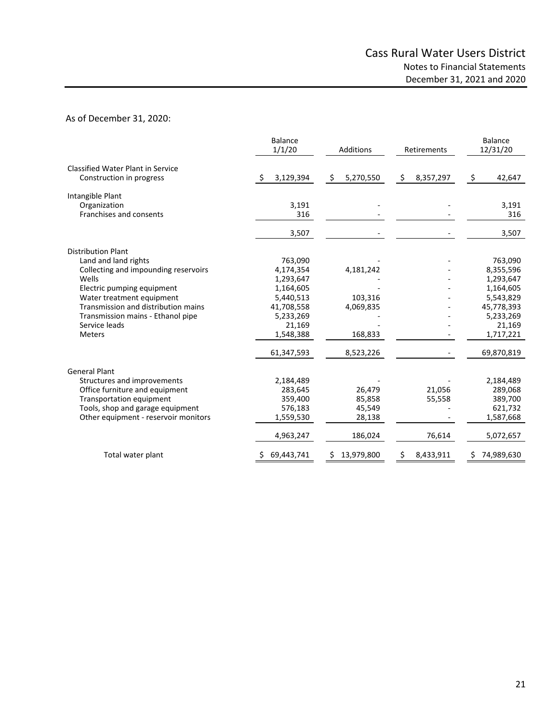#### As of December 31, 2020:

|                                          | <b>Balance</b><br>1/1/20 | Additions       | Retirements     | <b>Balance</b><br>12/31/20 |
|------------------------------------------|--------------------------|-----------------|-----------------|----------------------------|
| <b>Classified Water Plant in Service</b> |                          |                 |                 |                            |
| Construction in progress                 | Ŝ.<br>3,129,394          | \$<br>5,270,550 | \$<br>8,357,297 | \$<br>42,647               |
| Intangible Plant                         |                          |                 |                 |                            |
| Organization                             | 3,191                    |                 |                 | 3,191                      |
| Franchises and consents                  | 316                      |                 |                 | 316                        |
|                                          | 3,507                    |                 |                 | 3,507                      |
| <b>Distribution Plant</b>                |                          |                 |                 |                            |
| Land and land rights                     | 763,090                  |                 |                 | 763,090                    |
| Collecting and impounding reservoirs     | 4,174,354                | 4,181,242       |                 | 8,355,596                  |
| Wells                                    | 1,293,647                |                 |                 | 1,293,647                  |
| Electric pumping equipment               | 1,164,605                |                 |                 | 1,164,605                  |
| Water treatment equipment                | 5,440,513                | 103,316         |                 | 5,543,829                  |
| Transmission and distribution mains      | 41,708,558               | 4,069,835       |                 | 45,778,393                 |
| Transmission mains - Ethanol pipe        | 5,233,269                |                 |                 | 5,233,269                  |
| Service leads                            | 21,169                   |                 |                 | 21,169                     |
| <b>Meters</b>                            | 1,548,388                | 168,833         |                 | 1,717,221                  |
|                                          | 61,347,593               | 8,523,226       |                 | 69,870,819                 |
| <b>General Plant</b>                     |                          |                 |                 |                            |
| Structures and improvements              | 2,184,489                |                 |                 | 2,184,489                  |
| Office furniture and equipment           | 283,645                  | 26,479          | 21,056          | 289,068                    |
| Transportation equipment                 | 359,400                  | 85,858          | 55,558          | 389,700                    |
| Tools, shop and garage equipment         | 576,183                  | 45,549          |                 | 621,732                    |
| Other equipment - reservoir monitors     | 1,559,530                | 28,138          |                 | 1,587,668                  |
|                                          | 4,963,247                | 186,024         | 76,614          | 5,072,657                  |
| Total water plant                        | 69,443,741               | 13,979,800<br>Ş | 8,433,911<br>\$ | 74,989,630                 |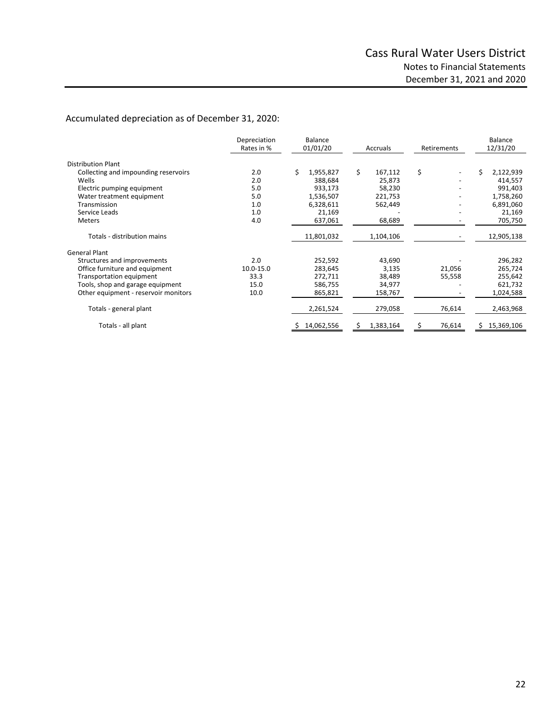# Accumulated depreciation as of December 31, 2020:

|                                      | Depreciation<br>Rates in % | Balance<br>01/01/20 | Accruals      | Retirements | <b>Balance</b><br>12/31/20 |
|--------------------------------------|----------------------------|---------------------|---------------|-------------|----------------------------|
| <b>Distribution Plant</b>            |                            |                     |               |             |                            |
| Collecting and impounding reservoirs | 2.0                        | \$<br>1,955,827     | \$<br>167,112 | \$          | Ś<br>2,122,939             |
| Wells                                | 2.0                        | 388,684             | 25,873        |             | 414,557                    |
| Electric pumping equipment           | 5.0                        | 933,173             | 58,230        |             | 991,403                    |
| Water treatment equipment            | 5.0                        | 1,536,507           | 221,753       |             | 1,758,260                  |
| Transmission                         | 1.0                        | 6,328,611           | 562,449       |             | 6,891,060                  |
| Service Leads                        | 1.0                        | 21,169              |               |             | 21,169                     |
| <b>Meters</b>                        | 4.0                        | 637,061             | 68,689        |             | 705,750                    |
| Totals - distribution mains          |                            | 11,801,032          | 1,104,106     |             | 12,905,138                 |
| <b>General Plant</b>                 |                            |                     |               |             |                            |
| Structures and improvements          | 2.0                        | 252,592             | 43,690        |             | 296,282                    |
| Office furniture and equipment       | 10.0-15.0                  | 283,645             | 3,135         | 21,056      | 265,724                    |
| Transportation equipment             | 33.3                       | 272,711             | 38,489        | 55,558      | 255,642                    |
| Tools, shop and garage equipment     | 15.0                       | 586,755             | 34,977        |             | 621,732                    |
| Other equipment - reservoir monitors | 10.0                       | 865,821             | 158,767       |             | 1,024,588                  |
| Totals - general plant               |                            | 2,261,524           | 279,058       | 76,614      | 2,463,968                  |
| Totals - all plant                   |                            | 14,062,556          | 1,383,164     | 76,614      | 15,369,106                 |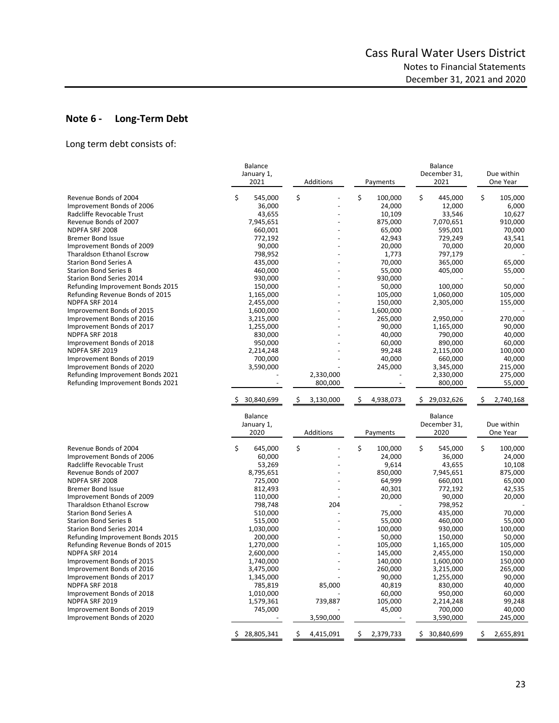# **Note 6 ‐ Long‐Term Debt**

Long term debt consists of:

|                                  | <b>Balance</b><br>January 1,<br>2021 | Additions       | Payments        | <b>Balance</b><br>December 31,<br>2021 | Due within<br>One Year |
|----------------------------------|--------------------------------------|-----------------|-----------------|----------------------------------------|------------------------|
| Revenue Bonds of 2004            | \$                                   | \$              | \$<br>100,000   | \$<br>445,000                          | \$                     |
| Improvement Bonds of 2006        | 545,000<br>36,000                    |                 | 24,000          | 12,000                                 | 105,000<br>6,000       |
| Radcliffe Revocable Trust        | 43,655                               |                 | 10,109          | 33,546                                 | 10,627                 |
|                                  |                                      |                 |                 |                                        |                        |
| Revenue Bonds of 2007            | 7,945,651                            |                 | 875,000         | 7,070,651                              | 910,000                |
| NDPFA SRF 2008                   | 660,001                              |                 | 65,000          | 595,001                                | 70,000                 |
| <b>Bremer Bond Issue</b>         | 772,192                              |                 | 42,943          | 729,249                                | 43,541                 |
| Improvement Bonds of 2009        | 90,000                               |                 | 20,000          | 70,000                                 | 20,000                 |
| <b>Tharaldson Ethanol Escrow</b> | 798,952                              |                 | 1,773           | 797,179                                |                        |
| <b>Starion Bond Series A</b>     | 435,000                              |                 | 70,000          | 365,000                                | 65,000                 |
| <b>Starion Bond Series B</b>     | 460,000                              |                 | 55,000          | 405,000                                | 55,000                 |
| Starion Bond Series 2014         | 930,000                              |                 | 930,000         |                                        |                        |
| Refunding Improvement Bonds 2015 | 150,000                              |                 | 50,000          | 100,000                                | 50,000                 |
| Refunding Revenue Bonds of 2015  | 1,165,000                            |                 | 105,000         | 1,060,000                              | 105,000                |
| NDPFA SRF 2014                   | 2,455,000                            |                 | 150,000         | 2,305,000                              | 155,000                |
| Improvement Bonds of 2015        | 1,600,000                            |                 | 1,600,000       |                                        |                        |
| Improvement Bonds of 2016        | 3,215,000                            |                 | 265,000         | 2,950,000                              | 270,000                |
| Improvement Bonds of 2017        | 1,255,000                            |                 | 90,000          | 1,165,000                              | 90,000                 |
| NDPFA SRF 2018                   | 830,000                              |                 | 40,000          | 790,000                                | 40,000                 |
| Improvement Bonds of 2018        | 950,000                              |                 | 60,000          | 890,000                                | 60,000                 |
| NDPFA SRF 2019                   | 2,214,248                            |                 | 99,248          | 2,115,000                              | 100,000                |
| Improvement Bonds of 2019        | 700,000                              |                 | 40,000          | 660,000                                | 40,000                 |
| Improvement Bonds of 2020        | 3,590,000                            |                 | 245,000         | 3,345,000                              | 215,000                |
| Refunding Improvement Bonds 2021 |                                      | 2,330,000       |                 | 2,330,000                              | 275,000                |
| Refunding Improvement Bonds 2021 |                                      | 800,000         |                 | 800,000                                | 55,000                 |
|                                  | 30,840,699                           | \$<br>3,130,000 | 4,938,073<br>\$ | \$.<br>29,032,626                      | Ś<br>2,740,168         |
|                                  | <b>Balance</b>                       |                 |                 | <b>Balance</b>                         |                        |
|                                  | January 1,                           |                 |                 | December 31,                           | Due within             |
|                                  | 2020                                 | Additions       | Payments        | 2020                                   | One Year               |
|                                  |                                      |                 |                 |                                        |                        |
| Revenue Bonds of 2004            | \$<br>645,000                        | \$              | \$<br>100,000   | \$<br>545,000                          | \$<br>100,000          |
| Improvement Bonds of 2006        | 60,000                               |                 | 24,000          | 36,000                                 | 24,000                 |
| Radcliffe Revocable Trust        | 53,269                               |                 | 9,614           | 43,655                                 | 10,108                 |
| Revenue Bonds of 2007            | 8,795,651                            |                 | 850,000         | 7,945,651                              | 875,000                |
| NDPFA SRF 2008                   | 725,000                              |                 | 64,999          | 660,001                                | 65,000                 |
| <b>Bremer Bond Issue</b>         | 812,493                              |                 | 40,301          | 772,192                                | 42,535                 |
| Improvement Bonds of 2009        | 110,000                              |                 | 20,000          | 90,000                                 | 20,000                 |
| <b>Tharaldson Ethanol Escrow</b> | 798,748                              | 204             |                 | 798,952                                |                        |
| <b>Starion Bond Series A</b>     | 510,000                              |                 | 75,000          | 435,000                                | 70,000                 |
| <b>Starion Bond Series B</b>     | 515,000                              |                 | 55,000          | 460,000                                | 55,000                 |
| Starion Bond Series 2014         | 1,030,000                            |                 | 100,000         | 930,000                                | 100,000                |
| Refunding Improvement Bonds 2015 | 200,000                              |                 | 50,000          | 150,000                                | 50,000                 |
| Refunding Revenue Bonds of 2015  | 1,270,000                            |                 | 105,000         | 1,165,000                              | 105,000                |
| NDPFA SRF 2014                   | 2,600,000                            |                 | 145,000         | 2,455,000                              | 150,000                |
| Improvement Bonds of 2015        | 1,740,000                            |                 | 140,000         | 1,600,000                              | 150,000                |
| Improvement Bonds of 2016        | 3,475,000                            |                 | 260,000         | 3,215,000                              | 265,000                |
| Improvement Bonds of 2017        | 1,345,000                            |                 | 90,000          | 1,255,000                              | 90,000                 |
| NDPFA SRF 2018                   | 785,819                              | 85,000          | 40,819          | 830,000                                | 40,000                 |
| Improvement Bonds of 2018        | 1,010,000                            |                 | 60,000          | 950,000                                | 60,000                 |
| NDPFA SRF 2019                   | 1,579,361                            | 739,887         | 105,000         | 2,214,248                              | 99,248                 |
| Improvement Bonds of 2019        | 745,000                              |                 | 45,000          | 700,000                                | 40,000                 |
| Improvement Bonds of 2020        |                                      | 3,590,000       |                 | 3,590,000                              | 245,000                |
|                                  | 28,805,341<br>Ş.                     | 4,415,091<br>Ş. | \$<br>2,379,733 | \$<br>30,840,699                       | \$<br>2,655,891        |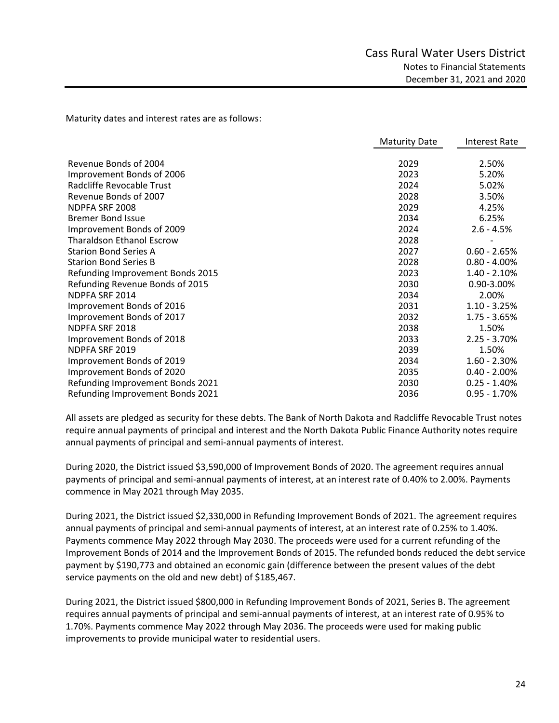Maturity dates and interest rates are as follows:

|                                  | <b>Maturity Date</b> | <b>Interest Rate</b> |
|----------------------------------|----------------------|----------------------|
|                                  |                      |                      |
| Revenue Bonds of 2004            | 2029                 | 2.50%                |
| Improvement Bonds of 2006        | 2023                 | 5.20%                |
| Radcliffe Revocable Trust        | 2024                 | 5.02%                |
| Revenue Bonds of 2007            | 2028                 | 3.50%                |
| NDPFA SRF 2008                   | 2029                 | 4.25%                |
| <b>Bremer Bond Issue</b>         | 2034                 | 6.25%                |
| Improvement Bonds of 2009        | 2024                 | $2.6 - 4.5%$         |
| <b>Tharaldson Ethanol Escrow</b> | 2028                 |                      |
| <b>Starion Bond Series A</b>     | 2027                 | $0.60 - 2.65%$       |
| <b>Starion Bond Series B</b>     | 2028                 | $0.80 - 4.00\%$      |
| Refunding Improvement Bonds 2015 | 2023                 | $1.40 - 2.10%$       |
| Refunding Revenue Bonds of 2015  | 2030                 | 0.90-3.00%           |
| NDPFA SRF 2014                   | 2034                 | 2.00%                |
| Improvement Bonds of 2016        | 2031                 | $1.10 - 3.25%$       |
| Improvement Bonds of 2017        | 2032                 | $1.75 - 3.65%$       |
| NDPFA SRF 2018                   | 2038                 | 1.50%                |
| Improvement Bonds of 2018        | 2033                 | $2.25 - 3.70%$       |
| NDPFA SRF 2019                   | 2039                 | 1.50%                |
| Improvement Bonds of 2019        | 2034                 | $1.60 - 2.30%$       |
| Improvement Bonds of 2020        | 2035                 | $0.40 - 2.00\%$      |
| Refunding Improvement Bonds 2021 | 2030                 | $0.25 - 1.40%$       |
| Refunding Improvement Bonds 2021 | 2036                 | $0.95 - 1.70%$       |

All assets are pledged as security for these debts. The Bank of North Dakota and Radcliffe Revocable Trust notes require annual payments of principal and interest and the North Dakota Public Finance Authority notes require annual payments of principal and semi‐annual payments of interest.

During 2020, the District issued \$3,590,000 of Improvement Bonds of 2020. The agreement requires annual payments of principal and semi‐annual payments of interest, at an interest rate of 0.40% to 2.00%. Payments commence in May 2021 through May 2035.

During 2021, the District issued \$2,330,000 in Refunding Improvement Bonds of 2021. The agreement requires annual payments of principal and semi‐annual payments of interest, at an interest rate of 0.25% to 1.40%. Payments commence May 2022 through May 2030. The proceeds were used for a current refunding of the Improvement Bonds of 2014 and the Improvement Bonds of 2015. The refunded bonds reduced the debt service payment by \$190,773 and obtained an economic gain (difference between the present values of the debt service payments on the old and new debt) of \$185,467.

During 2021, the District issued \$800,000 in Refunding Improvement Bonds of 2021, Series B. The agreement requires annual payments of principal and semi‐annual payments of interest, at an interest rate of 0.95% to 1.70%. Payments commence May 2022 through May 2036. The proceeds were used for making public improvements to provide municipal water to residential users.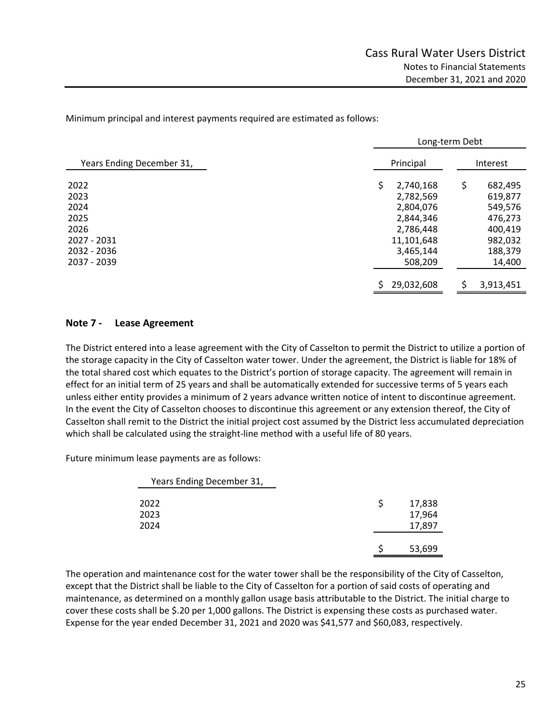Minimum principal and interest payments required are estimated as follows:

|                           | Long-term Debt  |               |  |  |  |  |
|---------------------------|-----------------|---------------|--|--|--|--|
| Years Ending December 31, | Principal       | Interest      |  |  |  |  |
| 2022                      | \$<br>2,740,168 | \$<br>682,495 |  |  |  |  |
| 2023                      | 2,782,569       | 619,877       |  |  |  |  |
| 2024                      | 2,804,076       | 549,576       |  |  |  |  |
| 2025                      | 2,844,346       | 476,273       |  |  |  |  |
| 2026                      | 2,786,448       | 400,419       |  |  |  |  |
| 2027 - 2031               | 11,101,648      | 982,032       |  |  |  |  |
| 2032 - 2036               | 3,465,144       | 188,379       |  |  |  |  |
| 2037 - 2039               | 508,209         | 14,400        |  |  |  |  |
|                           | 29,032,608      | 3,913,451     |  |  |  |  |

## **Note 7 ‐ Lease Agreement**

The District entered into a lease agreement with the City of Casselton to permit the District to utilize a portion of the storage capacity in the City of Casselton water tower. Under the agreement, the District is liable for 18% of the total shared cost which equates to the District's portion of storage capacity. The agreement will remain in effect for an initial term of 25 years and shall be automatically extended for successive terms of 5 years each unless either entity provides a minimum of 2 years advance written notice of intent to discontinue agreement. In the event the City of Casselton chooses to discontinue this agreement or any extension thereof, the City of Casselton shall remit to the District the initial project cost assumed by the District less accumulated depreciation which shall be calculated using the straight-line method with a useful life of 80 years.

Future minimum lease payments are as follows:

| Years Ending December 31, |  |                            |
|---------------------------|--|----------------------------|
| 2022<br>2023<br>2024      |  | 17,838<br>17,964<br>17,897 |
|                           |  | 53,699                     |

The operation and maintenance cost for the water tower shall be the responsibility of the City of Casselton, except that the District shall be liable to the City of Casselton for a portion of said costs of operating and maintenance, as determined on a monthly gallon usage basis attributable to the District. The initial charge to cover these costs shall be \$.20 per 1,000 gallons. The District is expensing these costs as purchased water. Expense for the year ended December 31, 2021 and 2020 was \$41,577 and \$60,083, respectively.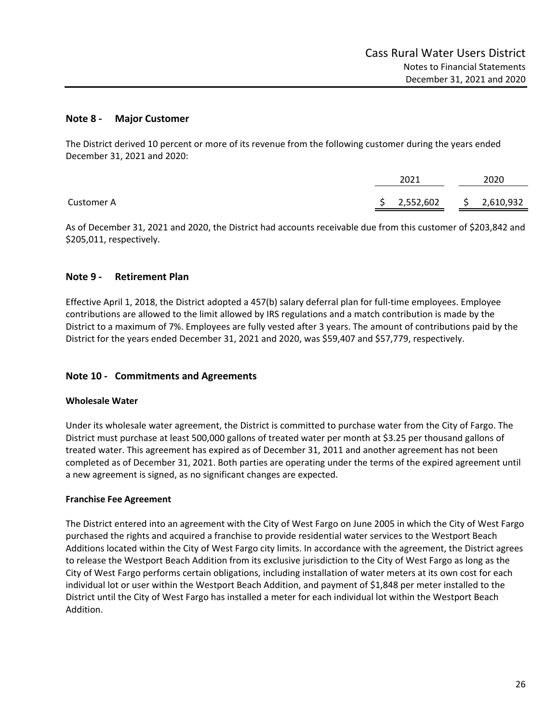## **Note 8 ‐ Major Customer**

The District derived 10 percent or more of its revenue from the following customer during the years ended December 31, 2021 and 2020:

|            | 2021        |  |  | 2020        |  |  |
|------------|-------------|--|--|-------------|--|--|
| Customer A | \$2,552,602 |  |  | \$2,610,932 |  |  |

As of December 31, 2021 and 2020, the District had accounts receivable due from this customer of \$203,842 and \$205,011, respectively.

## **Note 9 ‐ Retirement Plan**

Effective April 1, 2018, the District adopted a 457(b) salary deferral plan for full‐time employees. Employee contributions are allowed to the limit allowed by IRS regulations and a match contribution is made by the District to a maximum of 7%. Employees are fully vested after 3 years. The amount of contributions paid by the District for the years ended December 31, 2021 and 2020, was \$59,407 and \$57,779, respectively.

# **Note 10 ‐ Commitments and Agreements**

### **Wholesale Water**

Under its wholesale water agreement, the District is committed to purchase water from the City of Fargo. The District must purchase at least 500,000 gallons of treated water per month at \$3.25 per thousand gallons of treated water. This agreement has expired as of December 31, 2011 and another agreement has not been completed as of December 31, 2021. Both parties are operating under the terms of the expired agreement until a new agreement is signed, as no significant changes are expected.

### **Franchise Fee Agreement**

The District entered into an agreement with the City of West Fargo on June 2005 in which the City of West Fargo purchased the rights and acquired a franchise to provide residential water services to the Westport Beach Additions located within the City of West Fargo city limits. In accordance with the agreement, the District agrees to release the Westport Beach Addition from its exclusive jurisdiction to the City of West Fargo as long as the City of West Fargo performs certain obligations, including installation of water meters at its own cost for each individual lot or user within the Westport Beach Addition, and payment of \$1,848 per meter installed to the District until the City of West Fargo has installed a meter for each individual lot within the Westport Beach Addition.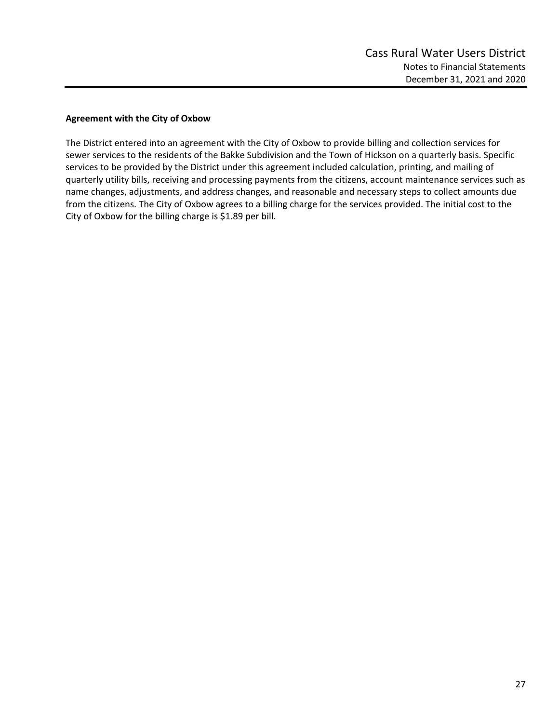## **Agreement with the City of Oxbow**

The District entered into an agreement with the City of Oxbow to provide billing and collection services for sewer services to the residents of the Bakke Subdivision and the Town of Hickson on a quarterly basis. Specific services to be provided by the District under this agreement included calculation, printing, and mailing of quarterly utility bills, receiving and processing payments from the citizens, account maintenance services such as name changes, adjustments, and address changes, and reasonable and necessary steps to collect amounts due from the citizens. The City of Oxbow agrees to a billing charge for the services provided. The initial cost to the City of Oxbow for the billing charge is \$1.89 per bill.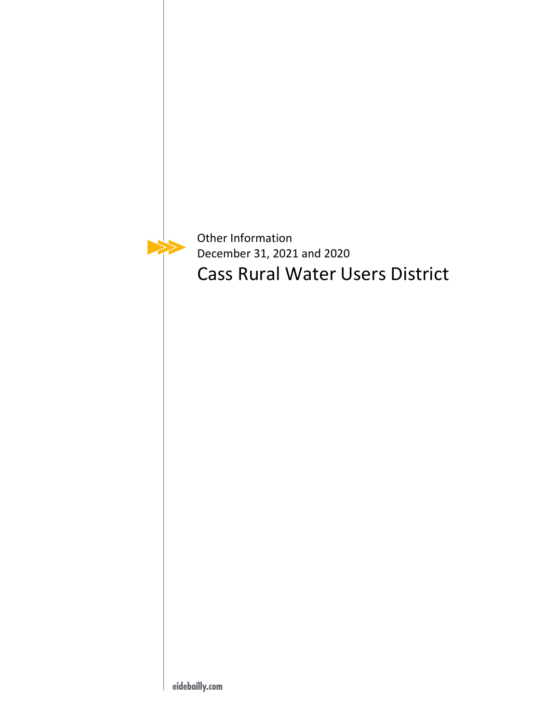

Other Information December 31, 2021 and 2020 Cass Rural Water Users District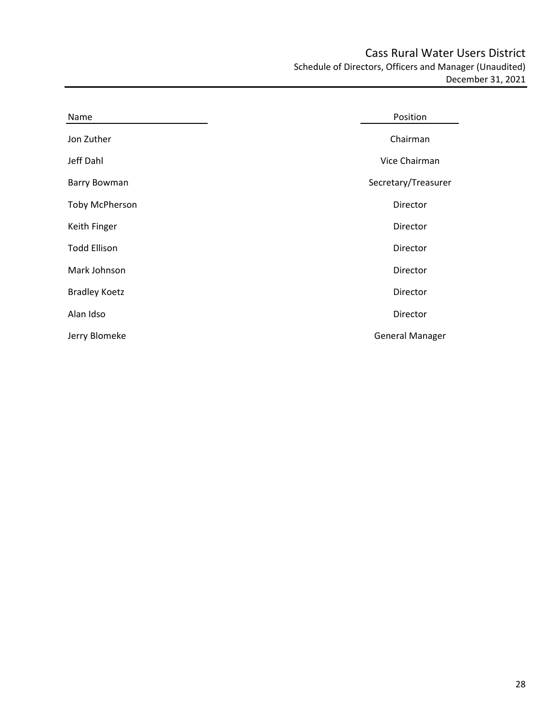Cass Rural Water Users District Schedule of Directors, Officers and Manager (Unaudited) December 31, 2021

| Name                  | Position               |
|-----------------------|------------------------|
| Jon Zuther            | Chairman               |
| Jeff Dahl             | Vice Chairman          |
| Barry Bowman          | Secretary/Treasurer    |
| <b>Toby McPherson</b> | Director               |
| Keith Finger          | Director               |
| <b>Todd Ellison</b>   | Director               |
| Mark Johnson          | Director               |
| <b>Bradley Koetz</b>  | Director               |
| Alan Idso             | Director               |
| Jerry Blomeke         | <b>General Manager</b> |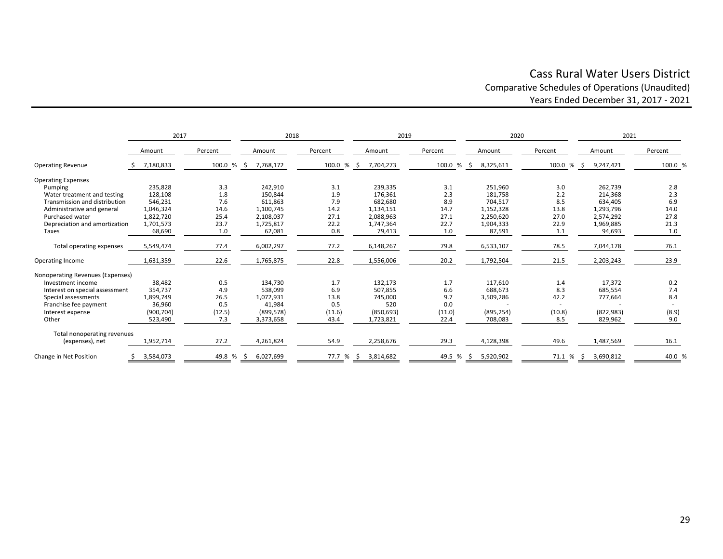# Cass Rural Water Users District Comparative Schedules of Operations (Unaudited) Years Ended December 31, 2017 ‐ 2021

|                                  | 2017       |            | 2018            |            | 2019             |              | 2020       |            | 2021             |         |
|----------------------------------|------------|------------|-----------------|------------|------------------|--------------|------------|------------|------------------|---------|
|                                  | Amount     | Percent    | Amount          | Percent    | Amount           | Percent      | Amount     | Percent    | Amount           | Percent |
| <b>Operating Revenue</b>         | 7,180,833  | 100.0 % \$ | 7,768,172       | 100.0 % \$ | 7,704,273        | 100.0 % \$   | 8,325,611  | 100.0 % \$ | 9,247,421        | 100.0 % |
| <b>Operating Expenses</b>        |            |            |                 |            |                  |              |            |            |                  |         |
| Pumping                          | 235,828    | 3.3        | 242,910         | 3.1        | 239,335          | 3.1          | 251,960    | 3.0        | 262,739          | 2.8     |
| Water treatment and testing      | 128,108    | 1.8        | 150,844         | 1.9        | 176,361          | 2.3          | 181,758    | 2.2        | 214,368          | 2.3     |
| Transmission and distribution    | 546,231    | 7.6        | 611,863         | 7.9        | 682,680          | 8.9          | 704,517    | 8.5        | 634,405          | 6.9     |
| Administrative and general       | 1,046,324  | 14.6       | 1,100,745       | 14.2       | 1,134,151        | 14.7         | 1,152,328  | 13.8       | 1,293,796        | 14.0    |
| Purchased water                  | 1,822,720  | 25.4       | 2,108,037       | 27.1       | 2,088,963        | 27.1         | 2,250,620  | 27.0       | 2,574,292        | 27.8    |
| Depreciation and amortization    | 1,701,573  | 23.7       | 1,725,817       | 22.2       | 1,747,364        | 22.7         | 1,904,333  | 22.9       | 1,969,885        | 21.3    |
| Taxes                            | 68,690     | 1.0        | 62,081          | 0.8        | 79,413           | 1.0          | 87,591     | 1.1        | 94,693           | 1.0     |
| Total operating expenses         | 5,549,474  | 77.4       | 6,002,297       | 77.2       | 6,148,267        | 79.8         | 6,533,107  | 78.5       | 7,044,178        | 76.1    |
| Operating Income                 | 1,631,359  | 22.6       | 1,765,875       | 22.8       | 1,556,006        | 20.2         | 1,792,504  | 21.5       | 2,203,243        | 23.9    |
| Nonoperating Revenues (Expenses) |            |            |                 |            |                  |              |            |            |                  |         |
| Investment income                | 38,482     | 0.5        | 134,730         | 1.7        | 132,173          | 1.7          | 117,610    | 1.4        | 17,372           | 0.2     |
| Interest on special assessment   | 354,737    | 4.9        | 538,099         | 6.9        | 507,855          | 6.6          | 688,673    | 8.3        | 685,554          | 7.4     |
| Special assessments              | 1,899,749  | 26.5       | 1,072,931       | 13.8       | 745,000          | 9.7          | 3,509,286  | 42.2       | 777,664          | 8.4     |
| Franchise fee payment            | 36,960     | 0.5        | 41,984          | 0.5        | 520              | 0.0          |            |            |                  |         |
| Interest expense                 | (900, 704) | (12.5)     | (899, 578)      | (11.6)     | (850, 693)       | (11.0)       | (895, 254) | (10.8)     | (822, 983)       | (8.9)   |
| Other                            | 523,490    | 7.3        | 3,373,658       | 43.4       | 1,723,821        | 22.4         | 708,083    | 8.5        | 829,962          | 9.0     |
| Total nonoperating revenues      |            |            |                 |            |                  |              |            |            |                  |         |
| (expenses), net                  | 1,952,714  | 27.2       | 4,261,824       | 54.9       | 2,258,676        | 29.3         | 4,128,398  | 49.6       | 1,487,569        | 16.1    |
| Change in Net Position           | 3,584,073  | 49.8 %     | 6,027,699<br>S. | 77.7 %     | 3,814,682<br>-\$ | 49.5 %<br>Ŝ. | 5,920,902  | 71.1 %     | 3,690,812<br>-\$ | 40.0 %  |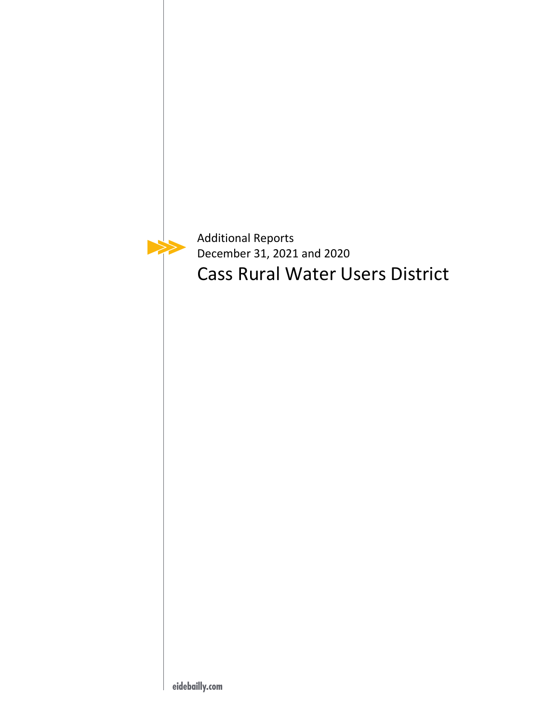$\blacktriangleright$ 

Additional Reports December 31, 2021 and 2020 Cass Rural Water Users District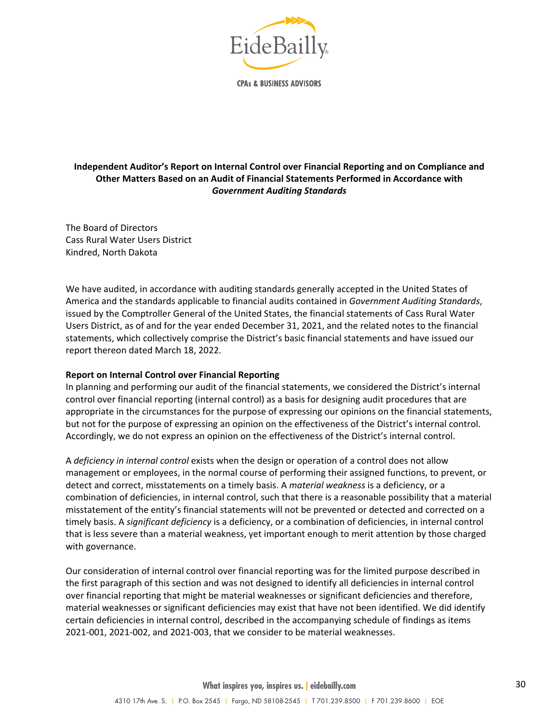

**CPAs & BUSINESS ADVISORS** 

# **Independent Auditor's Report on Internal Control over Financial Reporting and on Compliance and Other Matters Based on an Audit of Financial Statements Performed in Accordance with** *Government Auditing Standards*

The Board of Directors Cass Rural Water Users District Kindred, North Dakota

We have audited, in accordance with auditing standards generally accepted in the United States of America and the standards applicable to financial audits contained in *Government Auditing Standards*, issued by the Comptroller General of the United States, the financial statements of Cass Rural Water Users District, as of and for the year ended December 31, 2021, and the related notes to the financial statements, which collectively comprise the District's basic financial statements and have issued our report thereon dated March 18, 2022.

### **Report on Internal Control over Financial Reporting**

In planning and performing our audit of the financial statements, we considered the District's internal control over financial reporting (internal control) as a basis for designing audit procedures that are appropriate in the circumstances for the purpose of expressing our opinions on the financial statements, but not for the purpose of expressing an opinion on the effectiveness of the District's internal control. Accordingly, we do not express an opinion on the effectiveness of the District's internal control.

A *deficiency in internal control* exists when the design or operation of a control does not allow management or employees, in the normal course of performing their assigned functions, to prevent, or detect and correct, misstatements on a timely basis. A *material weakness* is a deficiency, or a combination of deficiencies, in internal control, such that there is a reasonable possibility that a material misstatement of the entity's financial statements will not be prevented or detected and corrected on a timely basis. A *significant deficiency* is a deficiency, or a combination of deficiencies, in internal control that is less severe than a material weakness, yet important enough to merit attention by those charged with governance.

Our consideration of internal control over financial reporting was for the limited purpose described in the first paragraph of this section and was not designed to identify all deficiencies in internal control over financial reporting that might be material weaknesses or significant deficiencies and therefore, material weaknesses or significant deficiencies may exist that have not been identified. We did identify certain deficiencies in internal control, described in the accompanying schedule of findings as items 2021‐001, 2021‐002, and 2021‐003, that we consider to be material weaknesses.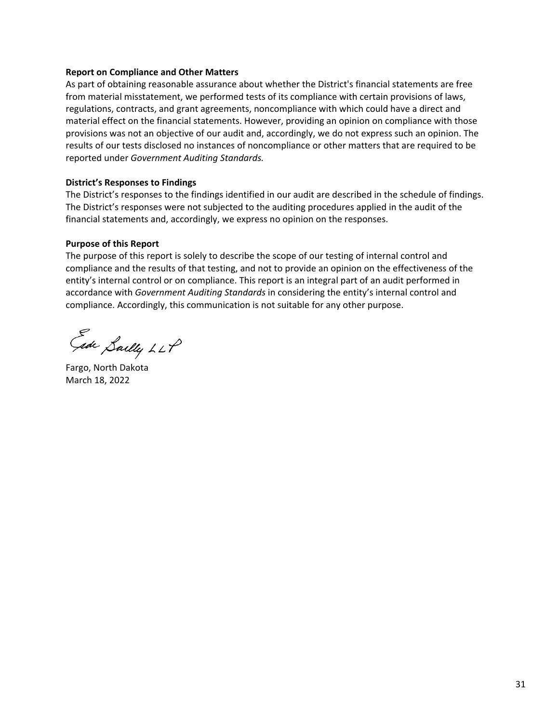#### **Report on Compliance and Other Matters**

As part of obtaining reasonable assurance about whether the District's financial statements are free from material misstatement, we performed tests of its compliance with certain provisions of laws, regulations, contracts, and grant agreements, noncompliance with which could have a direct and material effect on the financial statements. However, providing an opinion on compliance with those provisions was not an objective of our audit and, accordingly, we do not express such an opinion. The results of our tests disclosed no instances of noncompliance or other matters that are required to be reported under *Government Auditing Standards.*

#### **District's Responses to Findings**

The District's responses to the findings identified in our audit are described in the schedule of findings. The District's responses were not subjected to the auditing procedures applied in the audit of the financial statements and, accordingly, we express no opinion on the responses.

### **Purpose of this Report**

The purpose of this report is solely to describe the scope of our testing of internal control and compliance and the results of that testing, and not to provide an opinion on the effectiveness of the entity's internal control or on compliance. This report is an integral part of an audit performed in accordance with *Government Auditing Standards* in considering the entity's internal control and compliance. Accordingly, this communication is not suitable for any other purpose.

Ede Sailly LLP

Fargo, North Dakota March 18, 2022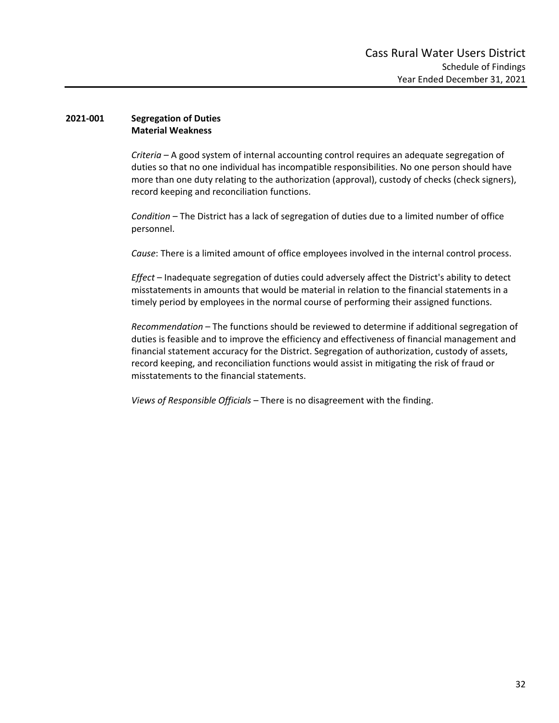### **2021‐001 Segregation of Duties Material Weakness**

*Criteria* – A good system of internal accounting control requires an adequate segregation of duties so that no one individual has incompatible responsibilities. No one person should have more than one duty relating to the authorization (approval), custody of checks (check signers), record keeping and reconciliation functions.

*Condition* – The District has a lack of segregation of duties due to a limited number of office personnel.

*Cause*: There is a limited amount of office employees involved in the internal control process.

*Effect* – Inadequate segregation of duties could adversely affect the District's ability to detect misstatements in amounts that would be material in relation to the financial statements in a timely period by employees in the normal course of performing their assigned functions.

*Recommendation* – The functions should be reviewed to determine if additional segregation of duties is feasible and to improve the efficiency and effectiveness of financial management and financial statement accuracy for the District. Segregation of authorization, custody of assets, record keeping, and reconciliation functions would assist in mitigating the risk of fraud or misstatements to the financial statements.

*Views of Responsible Officials* – There is no disagreement with the finding.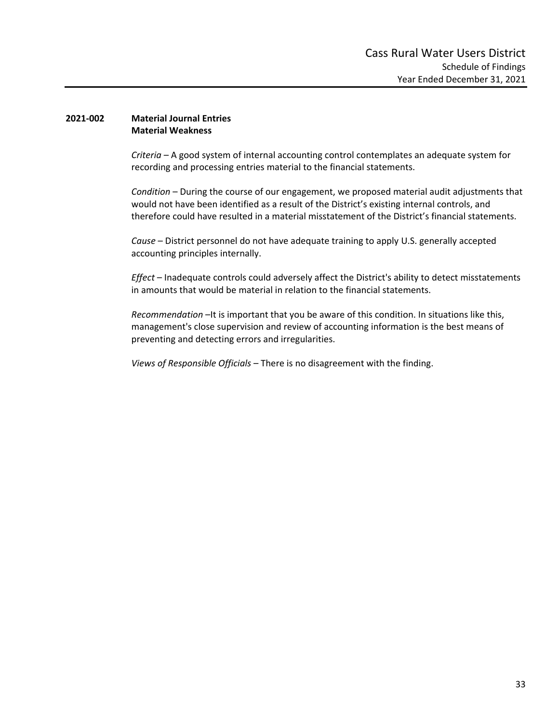#### **2021‐002 Material Journal Entries Material Weakness**

*Criteria* – A good system of internal accounting control contemplates an adequate system for recording and processing entries material to the financial statements.

*Condition* – During the course of our engagement, we proposed material audit adjustments that would not have been identified as a result of the District's existing internal controls, and therefore could have resulted in a material misstatement of the District's financial statements.

*Cause* – District personnel do not have adequate training to apply U.S. generally accepted accounting principles internally.

*Effect* – Inadequate controls could adversely affect the District's ability to detect misstatements in amounts that would be material in relation to the financial statements.

*Recommendation* –It is important that you be aware of this condition. In situations like this, management's close supervision and review of accounting information is the best means of preventing and detecting errors and irregularities.

*Views of Responsible Officials* – There is no disagreement with the finding.